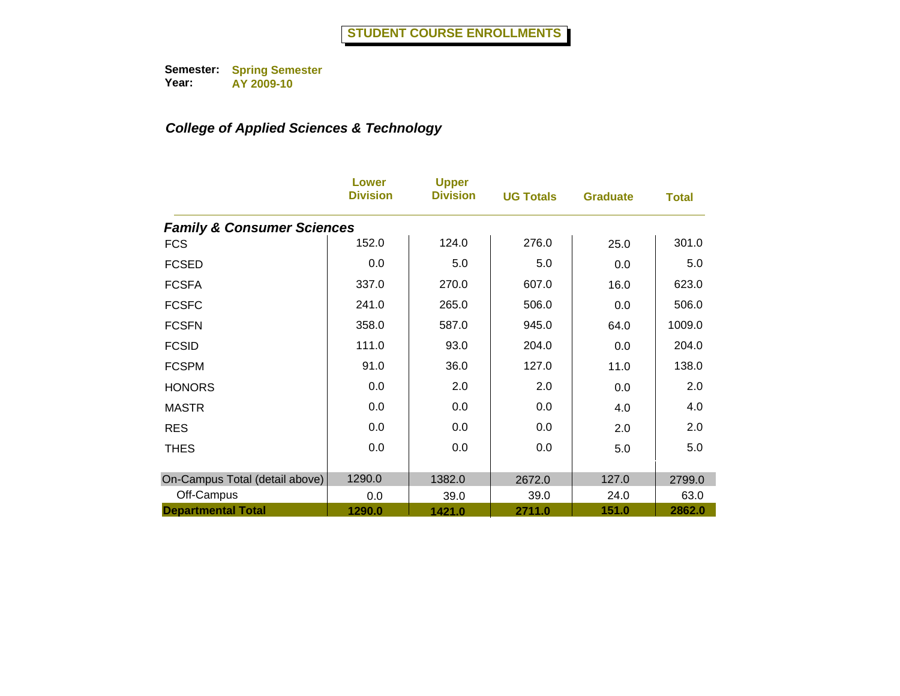|                                       | Lower<br><b>Division</b> | <b>Upper</b><br><b>Division</b> | <b>UG Totals</b> | <b>Graduate</b> | <b>Total</b> |
|---------------------------------------|--------------------------|---------------------------------|------------------|-----------------|--------------|
| <b>Family &amp; Consumer Sciences</b> |                          |                                 |                  |                 |              |
| <b>FCS</b>                            | 152.0                    | 124.0                           | 276.0            | 25.0            | 301.0        |
| <b>FCSED</b>                          | 0.0                      | 5.0                             | 5.0              | 0.0             | 5.0          |
| <b>FCSFA</b>                          | 337.0                    | 270.0                           | 607.0            | 16.0            | 623.0        |
| <b>FCSFC</b>                          | 241.0                    | 265.0                           | 506.0            | 0.0             | 506.0        |
| <b>FCSFN</b>                          | 358.0                    | 587.0                           | 945.0            | 64.0            | 1009.0       |
| <b>FCSID</b>                          | 111.0                    | 93.0                            | 204.0            | 0.0             | 204.0        |
| <b>FCSPM</b>                          | 91.0                     | 36.0                            | 127.0            | 11.0            | 138.0        |
| <b>HONORS</b>                         | 0.0                      | 2.0                             | 2.0              | 0.0             | 2.0          |
| <b>MASTR</b>                          | 0.0                      | 0.0                             | 0.0              | 4.0             | 4.0          |
| <b>RES</b>                            | 0.0                      | 0.0                             | 0.0              | 2.0             | 2.0          |
| <b>THES</b>                           | 0.0                      | 0.0                             | 0.0              | 5.0             | 5.0          |
|                                       |                          |                                 |                  |                 |              |
| On-Campus Total (detail above)        | 1290.0                   | 1382.0                          | 2672.0           | 127.0           | 2799.0       |
| Off-Campus                            | 0.0                      | 39.0                            | 39.0             | 24.0            | 63.0         |
| <b>Departmental Total</b>             | 1290.0                   | 1421.0                          | 2711.0           | 151.0           | 2862.0       |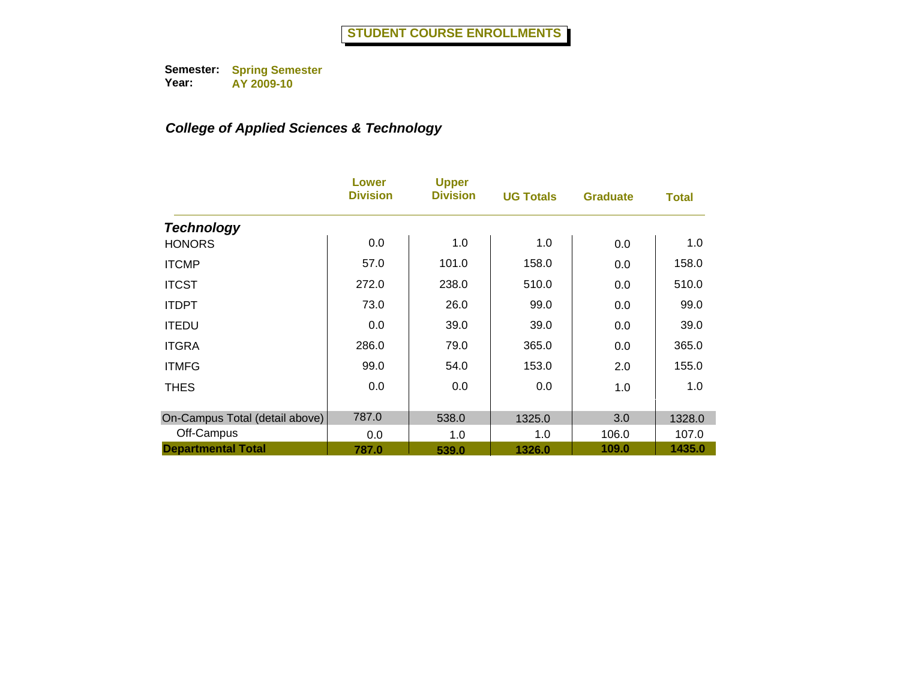|                                | Lower<br><b>Division</b> | <b>Upper</b><br><b>Division</b> | <b>UG Totals</b> | <b>Graduate</b> | <b>Total</b> |
|--------------------------------|--------------------------|---------------------------------|------------------|-----------------|--------------|
| <b>Technology</b>              |                          |                                 |                  |                 |              |
| <b>HONORS</b>                  | 0.0                      | 1.0                             | 1.0              | 0.0             | 1.0          |
| <b>ITCMP</b>                   | 57.0                     | 101.0                           | 158.0            | 0.0             | 158.0        |
| <b>ITCST</b>                   | 272.0                    | 238.0                           | 510.0            | 0.0             | 510.0        |
| <b>ITDPT</b>                   | 73.0                     | 26.0                            | 99.0             | 0.0             | 99.0         |
| <b>ITEDU</b>                   | 0.0                      | 39.0                            | 39.0             | 0.0             | 39.0         |
| <b>ITGRA</b>                   | 286.0                    | 79.0                            | 365.0            | 0.0             | 365.0        |
| <b>ITMFG</b>                   | 99.0                     | 54.0                            | 153.0            | 2.0             | 155.0        |
| <b>THES</b>                    | 0.0                      | 0.0                             | 0.0              | 1.0             | 1.0          |
| On-Campus Total (detail above) | 787.0                    | 538.0                           | 1325.0           | 3.0             | 1328.0       |
| Off-Campus                     | 0.0                      | 1.0                             | 1.0              | 106.0           | 107.0        |
| <b>Departmental Total</b>      | 787.0                    | 539.0                           | 1326.0           | 109.0           | 1435.0       |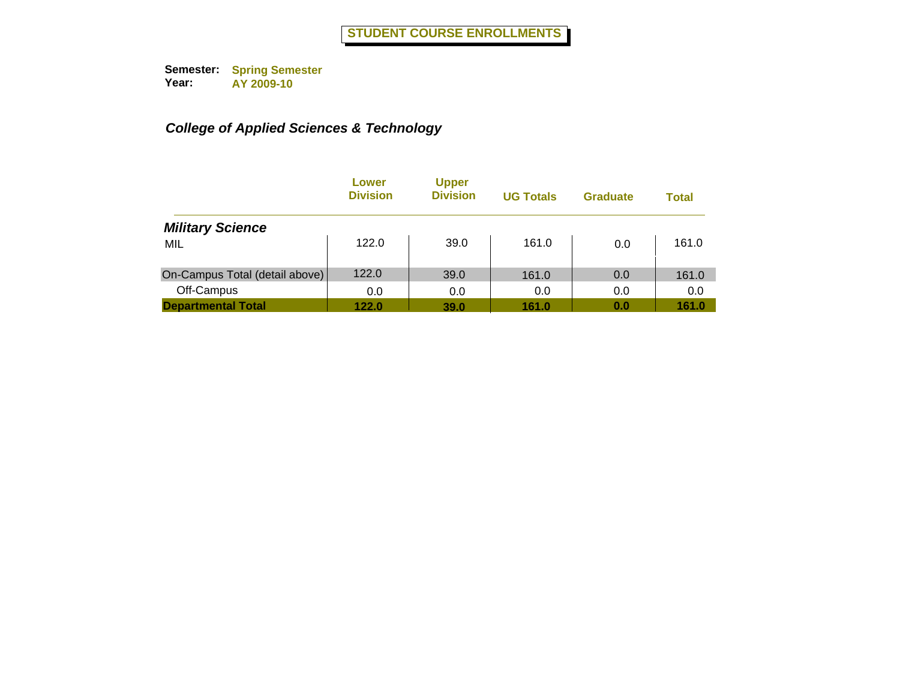|                                | Lower<br><b>Division</b> | <b>Upper</b><br><b>Division</b> | <b>UG Totals</b> | <b>Graduate</b> | <b>Total</b> |
|--------------------------------|--------------------------|---------------------------------|------------------|-----------------|--------------|
| <b>Military Science</b>        |                          |                                 |                  |                 |              |
| MIL                            | 122.0                    | 39.0                            | 161.0            | 0.0             | 161.0        |
| On-Campus Total (detail above) | 122.0                    | 39.0                            | 161.0            | 0.0             | 161.0        |
| Off-Campus                     | 0.0                      | 0.0                             | 0.0              | 0.0             | 0.0          |
| <b>Departmental Total</b>      | 122.0                    | 39.0                            | 161.0            | 0.0             | 161.0        |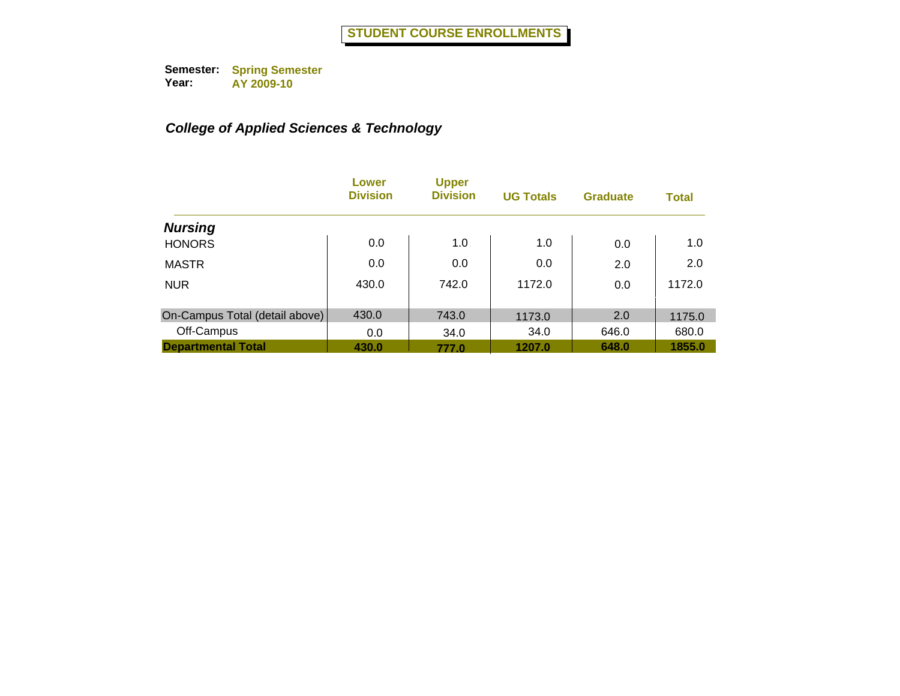|                                | Lower<br><b>Division</b> | <b>Upper</b><br><b>Division</b> | <b>UG Totals</b> | <b>Graduate</b> | <b>Total</b> |
|--------------------------------|--------------------------|---------------------------------|------------------|-----------------|--------------|
| <b>Nursing</b>                 |                          |                                 |                  |                 |              |
| <b>HONORS</b>                  | 0.0                      | 1.0                             | 1.0              | 0.0             | 1.0          |
| <b>MASTR</b>                   | 0.0                      | 0.0                             | 0.0              | 2.0             | 2.0          |
| <b>NUR</b>                     | 430.0                    | 742.0                           | 1172.0           | 0.0             | 1172.0       |
| On-Campus Total (detail above) | 430.0                    | 743.0                           | 1173.0           | 2.0             | 1175.0       |
| Off-Campus                     | 0.0                      | 34.0                            | 34.0             | 646.0           | 680.0        |
| <b>Departmental Total</b>      | 430.0                    | 777.0                           | 1207.0           | 648.0           | 1855.0       |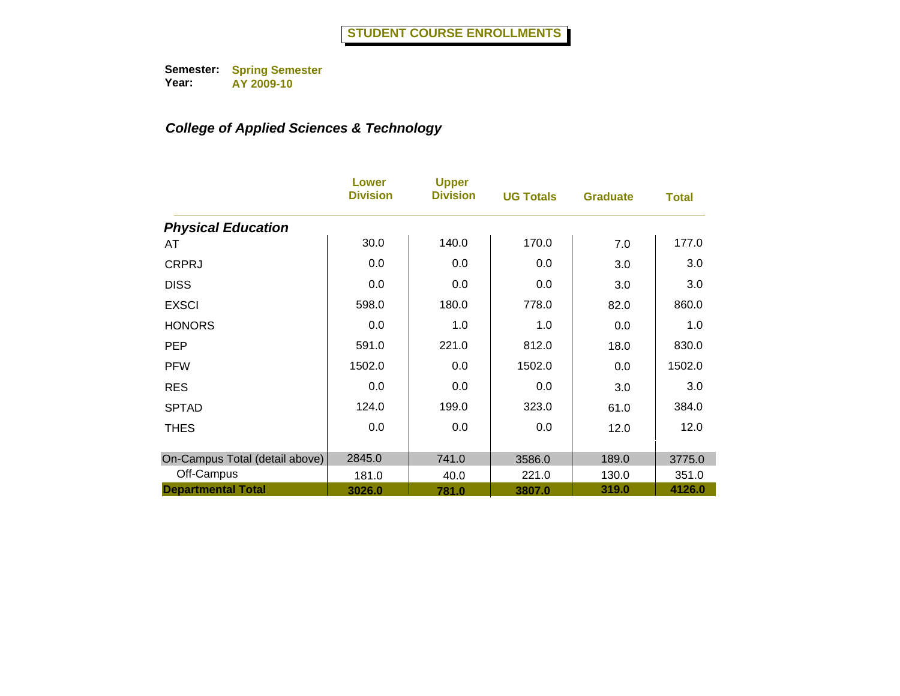|                                | Lower<br><b>Division</b> | <b>Upper</b><br><b>Division</b> | <b>UG Totals</b> | <b>Graduate</b> | <b>Total</b> |
|--------------------------------|--------------------------|---------------------------------|------------------|-----------------|--------------|
| <b>Physical Education</b>      |                          |                                 |                  |                 |              |
| AT                             | 30.0                     | 140.0                           | 170.0            | 7.0             | 177.0        |
| <b>CRPRJ</b>                   | 0.0                      | 0.0                             | 0.0              | 3.0             | 3.0          |
| <b>DISS</b>                    | 0.0                      | 0.0                             | 0.0              | 3.0             | 3.0          |
| <b>EXSCI</b>                   | 598.0                    | 180.0                           | 778.0            | 82.0            | 860.0        |
| <b>HONORS</b>                  | 0.0                      | 1.0                             | 1.0              | 0.0             | 1.0          |
| <b>PEP</b>                     | 591.0                    | 221.0                           | 812.0            | 18.0            | 830.0        |
| <b>PFW</b>                     | 1502.0                   | 0.0                             | 1502.0           | 0.0             | 1502.0       |
| <b>RES</b>                     | 0.0                      | 0.0                             | 0.0              | 3.0             | 3.0          |
| <b>SPTAD</b>                   | 124.0                    | 199.0                           | 323.0            | 61.0            | 384.0        |
| <b>THES</b>                    | 0.0                      | 0.0                             | 0.0              | 12.0            | 12.0         |
| On-Campus Total (detail above) | 2845.0                   | 741.0                           | 3586.0           | 189.0           | 3775.0       |
| Off-Campus                     | 181.0                    | 40.0                            | 221.0            | 130.0           | 351.0        |
| <b>Departmental Total</b>      | 3026.0                   | 781.0                           | 3807.0           | 319.0           | 4126.0       |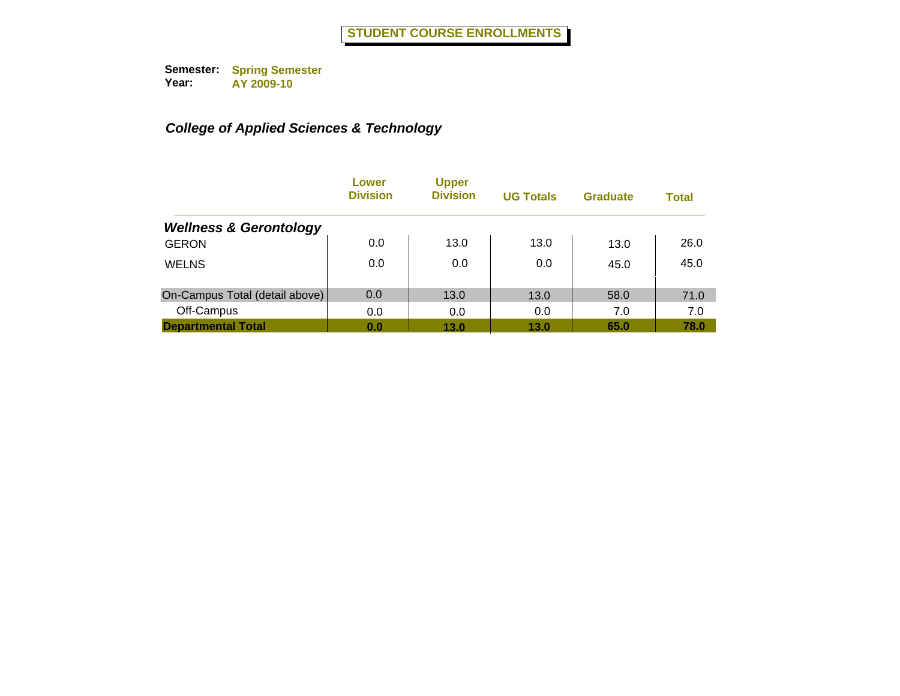|                                   | Lower<br><b>Division</b> | <b>Upper</b><br><b>Division</b> | <b>UG Totals</b> | <b>Graduate</b> | <b>Total</b> |
|-----------------------------------|--------------------------|---------------------------------|------------------|-----------------|--------------|
| <b>Wellness &amp; Gerontology</b> |                          |                                 |                  |                 |              |
| <b>GERON</b>                      | 0.0                      | 13.0                            | 13.0             | 13.0            | 26.0         |
| <b>WELNS</b>                      | 0.0                      | 0.0                             | 0.0              | 45.0            | 45.0         |
| On-Campus Total (detail above)    | 0.0                      | 13.0                            | 13.0             | 58.0            | 71.0         |
| Off-Campus                        | 0.0                      | 0.0                             | 0.0              | 7.0             | 7.0          |
| <b>Departmental Total</b>         | 0.0                      | 13.0                            | 13.0             | 65.0            | 78.0         |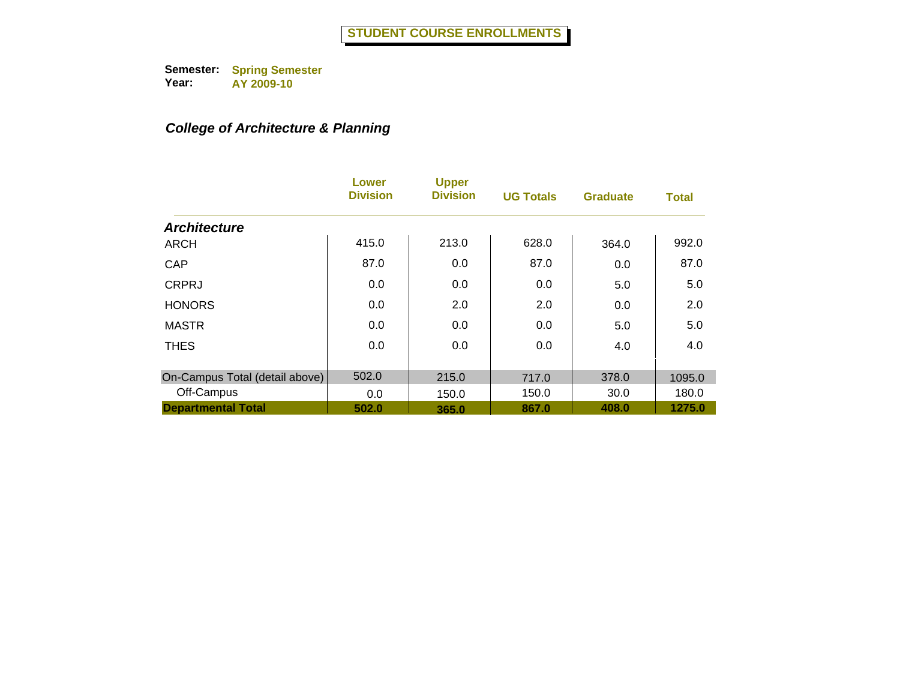# *College of Architecture & Planning*

|                                | Lower<br><b>Division</b> | <b>Upper</b><br><b>Division</b> | <b>UG Totals</b> | <b>Graduate</b> | <b>Total</b> |
|--------------------------------|--------------------------|---------------------------------|------------------|-----------------|--------------|
| <b>Architecture</b>            |                          |                                 |                  |                 |              |
| <b>ARCH</b>                    | 415.0                    | 213.0                           | 628.0            | 364.0           | 992.0        |
| CAP                            | 87.0                     | 0.0                             | 87.0             | 0.0             | 87.0         |
| <b>CRPRJ</b>                   | 0.0                      | 0.0                             | 0.0              | 5.0             | 5.0          |
| <b>HONORS</b>                  | 0.0                      | 2.0                             | 2.0              | 0.0             | 2.0          |
| <b>MASTR</b>                   | 0.0                      | 0.0                             | 0.0              | 5.0             | 5.0          |
| <b>THES</b>                    | 0.0                      | 0.0                             | 0.0              | 4.0             | 4.0          |
| On-Campus Total (detail above) | 502.0                    | 215.0                           | 717.0            | 378.0           | 1095.0       |
| Off-Campus                     | 0.0                      | 150.0                           | 150.0            | 30.0            | 180.0        |
| <b>Departmental Total</b>      | 502.0                    | 365.0                           | 867.0            | 408.0           | 1275.0       |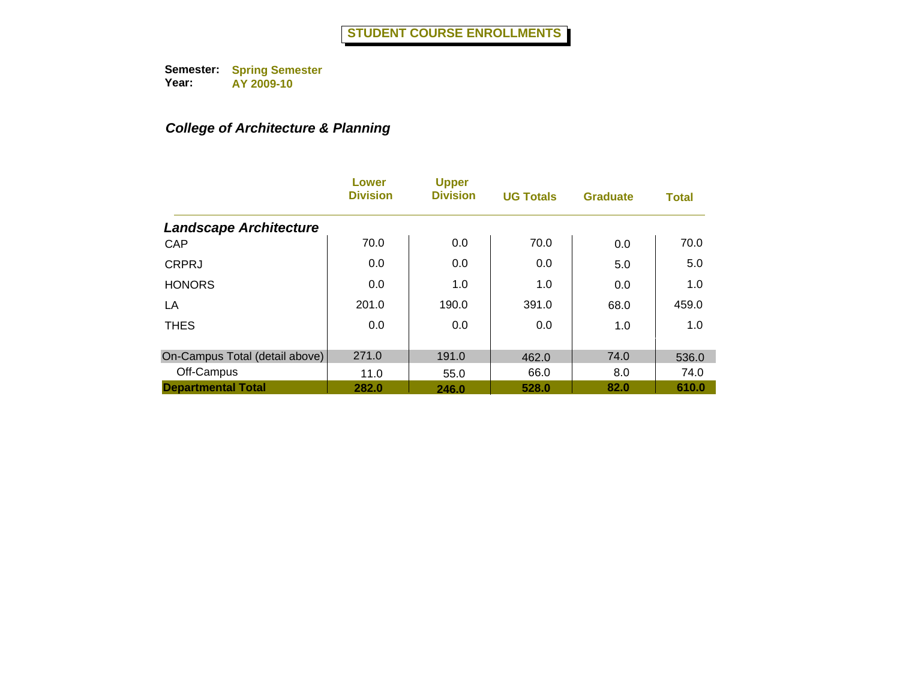# *College of Architecture & Planning*

|                                | Lower<br><b>Division</b> | <b>Upper</b><br><b>Division</b> | <b>UG Totals</b> | <b>Graduate</b> | <b>Total</b> |
|--------------------------------|--------------------------|---------------------------------|------------------|-----------------|--------------|
| <b>Landscape Architecture</b>  |                          |                                 |                  |                 |              |
| CAP                            | 70.0                     | 0.0                             | 70.0             | 0.0             | 70.0         |
| <b>CRPRJ</b>                   | 0.0                      | 0.0                             | 0.0              | 5.0             | 5.0          |
| <b>HONORS</b>                  | 0.0                      | 1.0                             | 1.0              | 0.0             | 1.0          |
| LA                             | 201.0                    | 190.0                           | 391.0            | 68.0            | 459.0        |
| <b>THES</b>                    | 0.0                      | 0.0                             | 0.0              | 1.0             | 1.0          |
| On-Campus Total (detail above) | 271.0                    | 191.0                           | 462.0            | 74.0            | 536.0        |
| Off-Campus                     | 11.0                     | 55.0                            | 66.0             | 8.0             | 74.0         |
| <b>Departmental Total</b>      | 282.0                    | 246.0                           | 528.0            | 82.0            | 610.0        |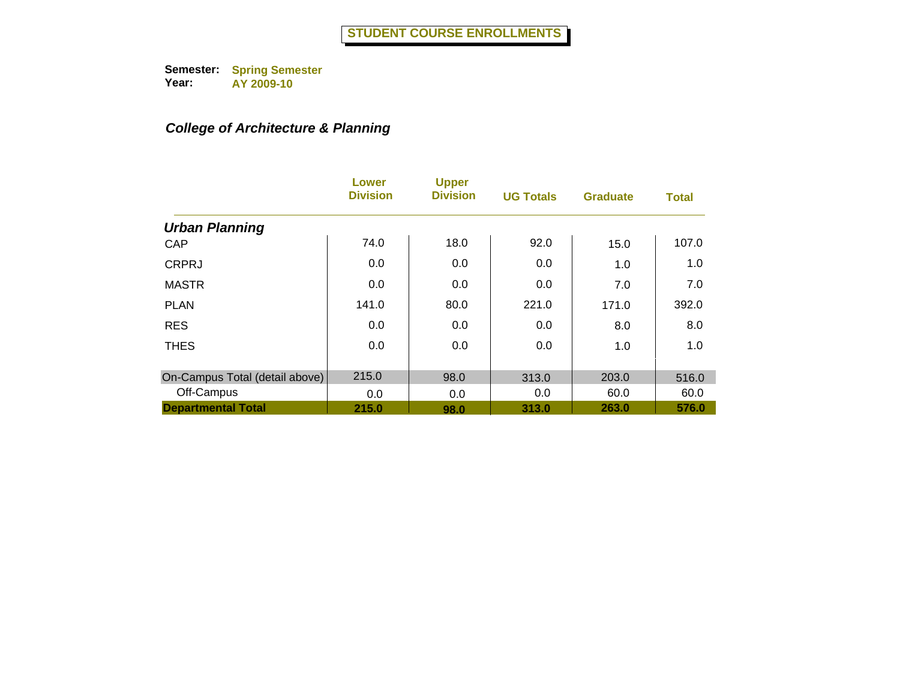# *College of Architecture & Planning*

|                                | Lower<br><b>Division</b> | <b>Upper</b><br><b>Division</b> | <b>UG Totals</b> | <b>Graduate</b> | <b>Total</b> |
|--------------------------------|--------------------------|---------------------------------|------------------|-----------------|--------------|
| <b>Urban Planning</b>          |                          |                                 |                  |                 |              |
| CAP                            | 74.0                     | 18.0                            | 92.0             | 15.0            | 107.0        |
| <b>CRPRJ</b>                   | 0.0                      | 0.0                             | 0.0              | 1.0             | 1.0          |
| <b>MASTR</b>                   | 0.0                      | 0.0                             | 0.0              | 7.0             | 7.0          |
| <b>PLAN</b>                    | 141.0                    | 80.0                            | 221.0            | 171.0           | 392.0        |
| <b>RES</b>                     | 0.0                      | 0.0                             | 0.0              | 8.0             | 8.0          |
| <b>THES</b>                    | 0.0                      | 0.0                             | 0.0              | 1.0             | 1.0          |
| On-Campus Total (detail above) | 215.0                    | 98.0                            | 313.0            | 203.0           | 516.0        |
| Off-Campus                     | 0.0                      | 0.0                             | 0.0              | 60.0            | 60.0         |
| <b>Departmental Total</b>      | 215.0                    | 98.0                            | 313.0            | 263.0           | 576.0        |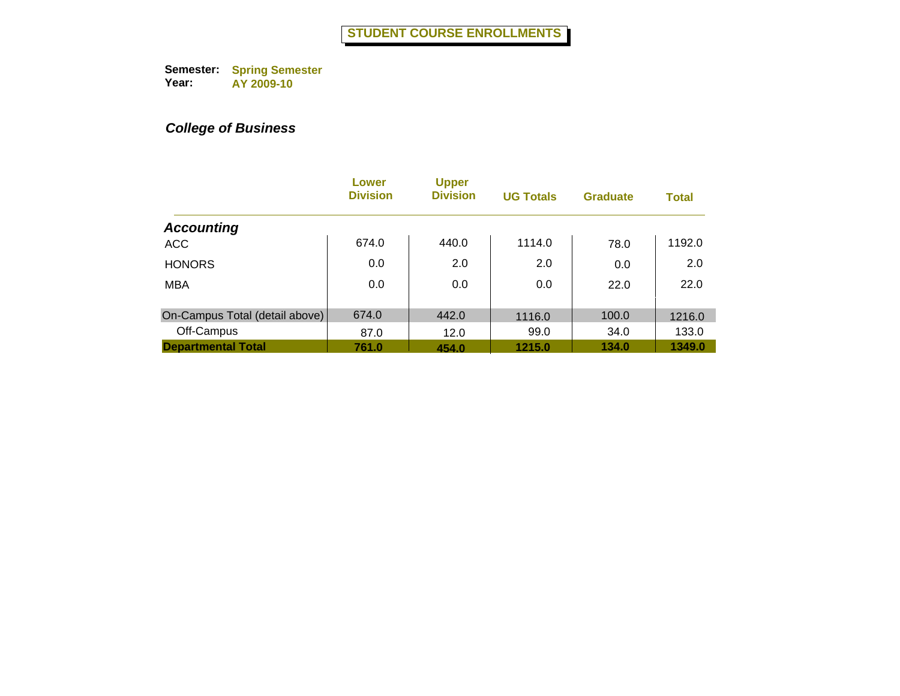|                                | Lower<br><b>Division</b> | <b>Upper</b><br><b>Division</b> | <b>UG Totals</b> | <b>Graduate</b> | <b>Total</b> |
|--------------------------------|--------------------------|---------------------------------|------------------|-----------------|--------------|
| <b>Accounting</b>              |                          |                                 |                  |                 |              |
| <b>ACC</b>                     | 674.0                    | 440.0                           | 1114.0           | 78.0            | 1192.0       |
| <b>HONORS</b>                  | 0.0                      | 2.0                             | 2.0              | 0.0             | 2.0          |
| <b>MBA</b>                     | 0.0                      | 0.0                             | 0.0              | 22.0            | 22.0         |
| On-Campus Total (detail above) | 674.0                    | 442.0                           | 1116.0           | 100.0           | 1216.0       |
| Off-Campus                     | 87.0                     | 12.0                            | 99.0             | 34.0            | 133.0        |
| <b>Departmental Total</b>      | 761.0                    | 454.0                           | 1215.0           | 134.0           | 1349.0       |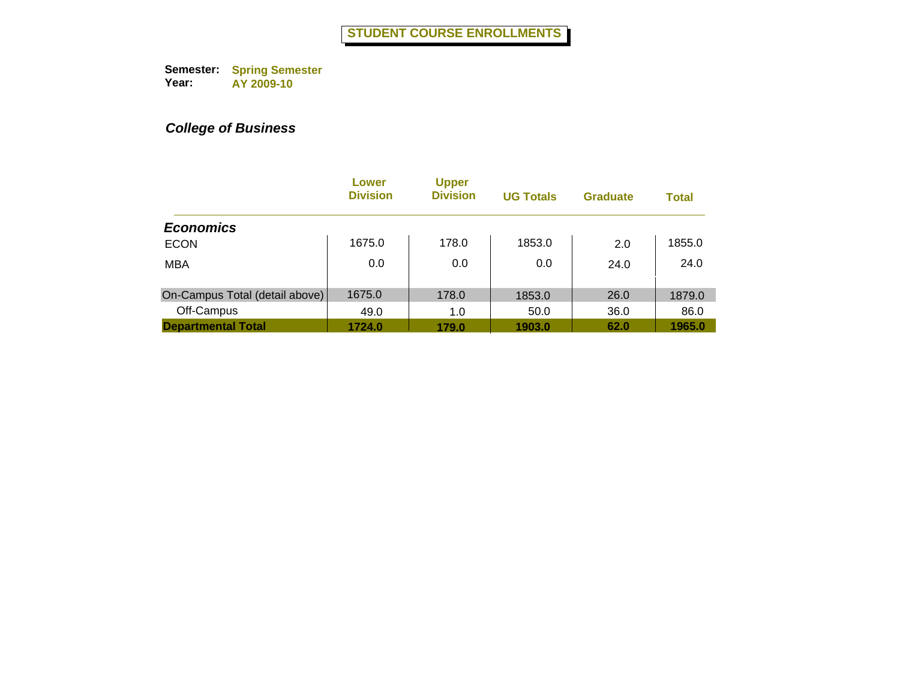|                                | Lower<br><b>Division</b> | <b>Upper</b><br><b>Division</b> | <b>UG Totals</b> | <b>Graduate</b> | <b>Total</b> |
|--------------------------------|--------------------------|---------------------------------|------------------|-----------------|--------------|
| <b>Economics</b>               |                          |                                 |                  |                 |              |
| <b>ECON</b>                    | 1675.0                   | 178.0                           | 1853.0           | 2.0             | 1855.0       |
| <b>MBA</b>                     | 0.0                      | 0.0                             | 0.0              | 24.0            | 24.0         |
| On-Campus Total (detail above) | 1675.0                   | 178.0                           | 1853.0           | 26.0            | 1879.0       |
| Off-Campus                     | 49.0                     | 1.0                             | 50.0             | 36.0            | 86.0         |
| <b>Departmental Total</b>      | 1724.0                   | 179.0                           | 1903.0           | 62.0            | 1965.0       |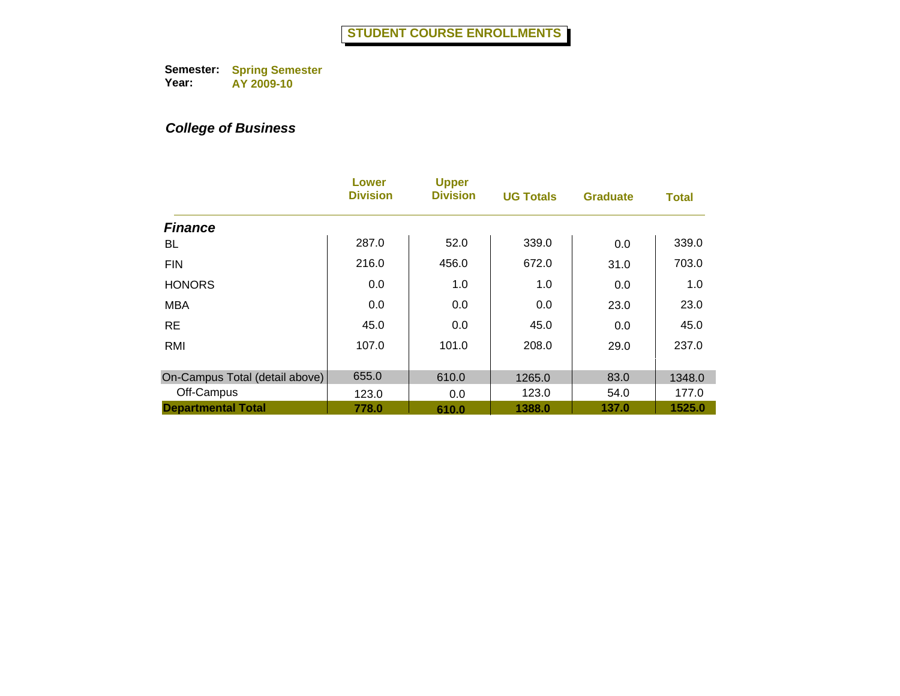|                                | Lower<br><b>Division</b> | <b>Upper</b><br><b>Division</b> | <b>UG Totals</b> | <b>Graduate</b> | <b>Total</b> |
|--------------------------------|--------------------------|---------------------------------|------------------|-----------------|--------------|
| <b>Finance</b>                 |                          |                                 |                  |                 |              |
| BL.                            | 287.0                    | 52.0                            | 339.0            | 0.0             | 339.0        |
| <b>FIN</b>                     | 216.0                    | 456.0                           | 672.0            | 31.0            | 703.0        |
| <b>HONORS</b>                  | 0.0                      | 1.0                             | 1.0              | 0.0             | 1.0          |
| <b>MBA</b>                     | 0.0                      | 0.0                             | 0.0              | 23.0            | 23.0         |
| <b>RE</b>                      | 45.0                     | 0.0                             | 45.0             | 0.0             | 45.0         |
| <b>RMI</b>                     | 107.0                    | 101.0                           | 208.0            | 29.0            | 237.0        |
| On-Campus Total (detail above) | 655.0                    | 610.0                           | 1265.0           | 83.0            | 1348.0       |
| Off-Campus                     | 123.0                    | 0.0                             | 123.0            | 54.0            | 177.0        |
| <b>Departmental Total</b>      | 778.0                    | 610.0                           | 1388.0           | 137.0           | 1525.0       |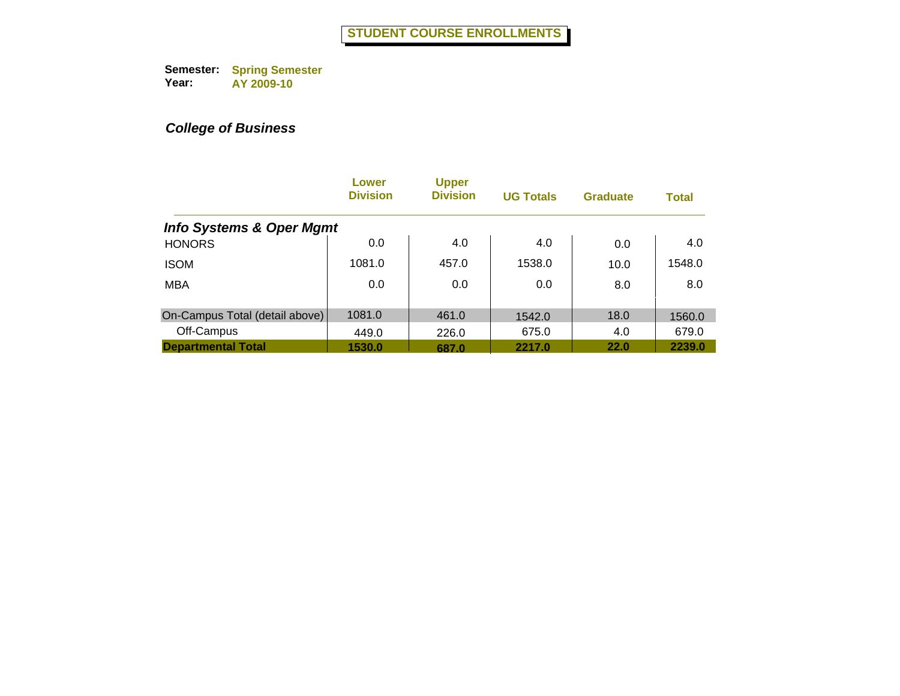|                                     | Lower<br><b>Division</b> | <b>Upper</b><br><b>Division</b> | <b>UG Totals</b> | <b>Graduate</b> | <b>Total</b> |
|-------------------------------------|--------------------------|---------------------------------|------------------|-----------------|--------------|
| <b>Info Systems &amp; Oper Mgmt</b> |                          |                                 |                  |                 |              |
| <b>HONORS</b>                       | 0.0                      | 4.0                             | 4.0              | 0.0             | 4.0          |
| <b>ISOM</b>                         | 1081.0                   | 457.0                           | 1538.0           | 10.0            | 1548.0       |
| <b>MBA</b>                          | 0.0                      | 0.0                             | 0.0              | 8.0             | 8.0          |
|                                     |                          |                                 |                  |                 |              |
| On-Campus Total (detail above)      | 1081.0                   | 461.0                           | 1542.0           | 18.0            | 1560.0       |
| Off-Campus                          | 449.0                    | 226.0                           | 675.0            | 4.0             | 679.0        |
| <b>Departmental Total</b>           | 1530.0                   | 687.0                           | 2217.0           | 22.0            | 2239.0       |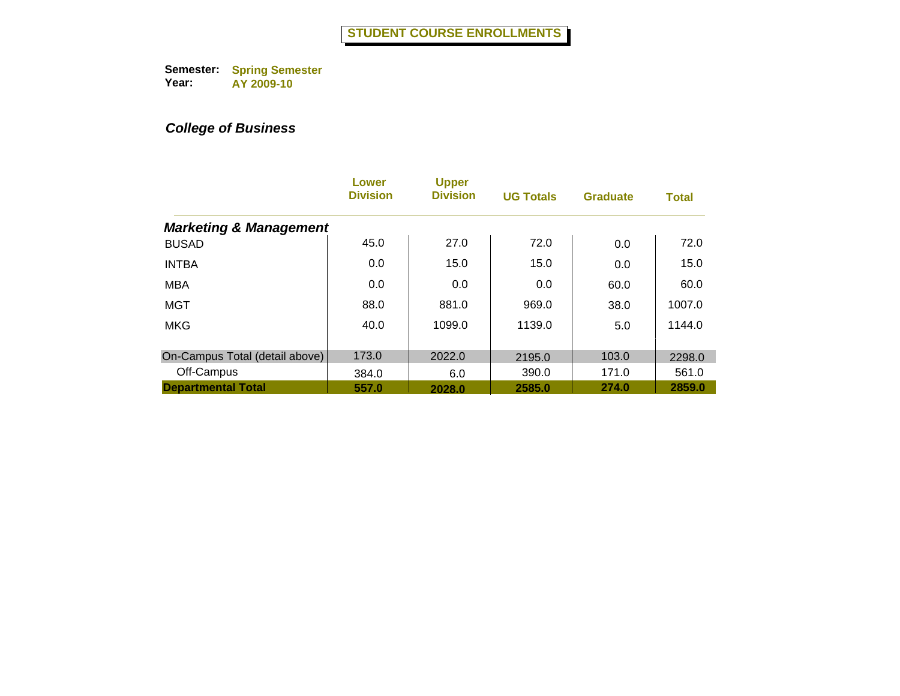|                                   | Lower<br><b>Division</b> | <b>Upper</b><br><b>Division</b> | <b>UG Totals</b> | <b>Graduate</b> | <b>Total</b> |
|-----------------------------------|--------------------------|---------------------------------|------------------|-----------------|--------------|
| <b>Marketing &amp; Management</b> |                          |                                 |                  |                 |              |
| <b>BUSAD</b>                      | 45.0                     | 27.0                            | 72.0             | 0.0             | 72.0         |
| <b>INTBA</b>                      | 0.0                      | 15.0                            | 15.0             | 0.0             | 15.0         |
| <b>MBA</b>                        | 0.0                      | 0.0                             | 0.0              | 60.0            | 60.0         |
| <b>MGT</b>                        | 88.0                     | 881.0                           | 969.0            | 38.0            | 1007.0       |
| <b>MKG</b>                        | 40.0                     | 1099.0                          | 1139.0           | 5.0             | 1144.0       |
| On-Campus Total (detail above)    | 173.0                    | 2022.0                          | 2195.0           | 103.0           | 2298.0       |
| Off-Campus                        | 384.0                    | 6.0                             | 390.0            | 171.0           | 561.0        |
| <b>Departmental Total</b>         | 557.0                    | 2028.0                          | 2585.0           | 274.0           | 2859.0       |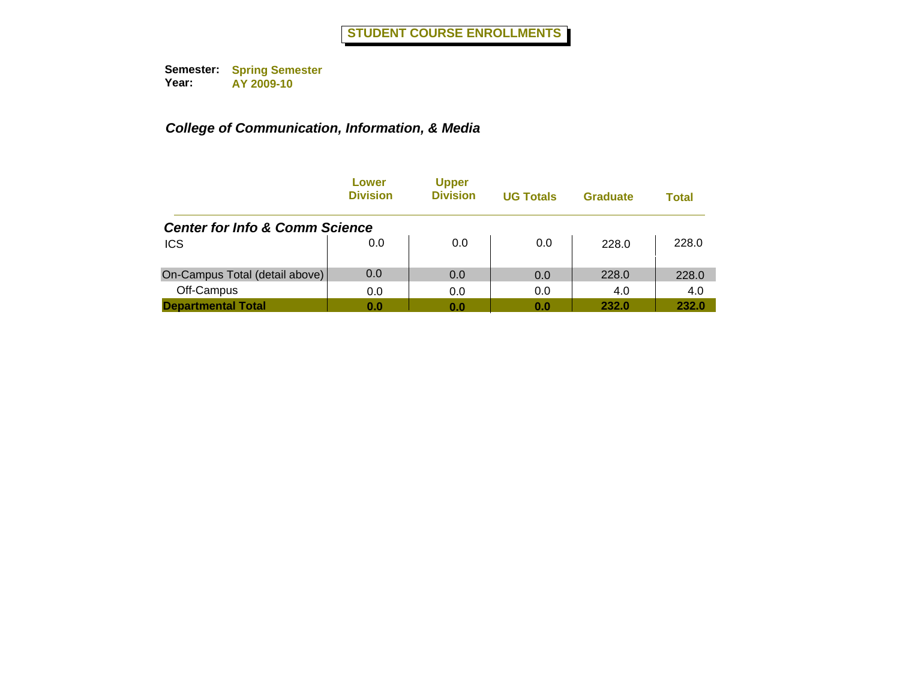|                                           | Lower<br><b>Division</b> | <b>Upper</b><br><b>Division</b> | <b>UG Totals</b> | Graduate | <b>Total</b> |
|-------------------------------------------|--------------------------|---------------------------------|------------------|----------|--------------|
| <b>Center for Info &amp; Comm Science</b> |                          |                                 |                  |          |              |
| <b>ICS</b>                                | 0.0                      | 0.0                             | 0.0              | 228.0    | 228.0        |
| On-Campus Total (detail above)            | 0.0                      | 0.0                             | 0.0              | 228.0    | 228.0        |
| Off-Campus                                | 0.0                      | 0.0                             | 0.0              | 4.0      | 4.0          |
| <b>Departmental Total</b>                 | 0.0                      | 0.0                             | 0.0              | 232.0    | 232.0        |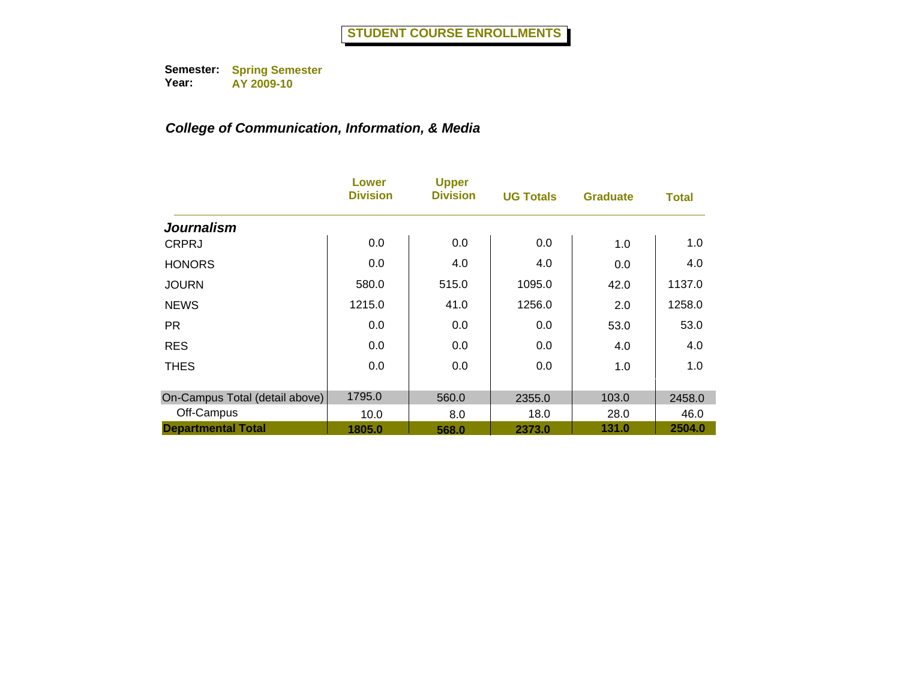|                                | Lower<br><b>Division</b> | <b>Upper</b><br><b>Division</b> | <b>UG Totals</b> | <b>Graduate</b> | <b>Total</b> |
|--------------------------------|--------------------------|---------------------------------|------------------|-----------------|--------------|
| <b>Journalism</b>              |                          |                                 |                  |                 |              |
| <b>CRPRJ</b>                   | 0.0                      | 0.0                             | 0.0              | 1.0             | 1.0          |
| <b>HONORS</b>                  | 0.0                      | 4.0                             | 4.0              | 0.0             | 4.0          |
| <b>JOURN</b>                   | 580.0                    | 515.0                           | 1095.0           | 42.0            | 1137.0       |
| <b>NEWS</b>                    | 1215.0                   | 41.0                            | 1256.0           | 2.0             | 1258.0       |
| <b>PR</b>                      | 0.0                      | 0.0                             | 0.0              | 53.0            | 53.0         |
| <b>RES</b>                     | 0.0                      | 0.0                             | 0.0              | 4.0             | 4.0          |
| <b>THES</b>                    | 0.0                      | 0.0                             | 0.0              | 1.0             | 1.0          |
| On-Campus Total (detail above) | 1795.0                   | 560.0                           | 2355.0           | 103.0           | 2458.0       |
| Off-Campus                     | 10.0                     | 8.0                             | 18.0             | 28.0            | 46.0         |
| <b>Departmental Total</b>      | 1805.0                   | 568.0                           | 2373.0           | 131.0           | 2504.0       |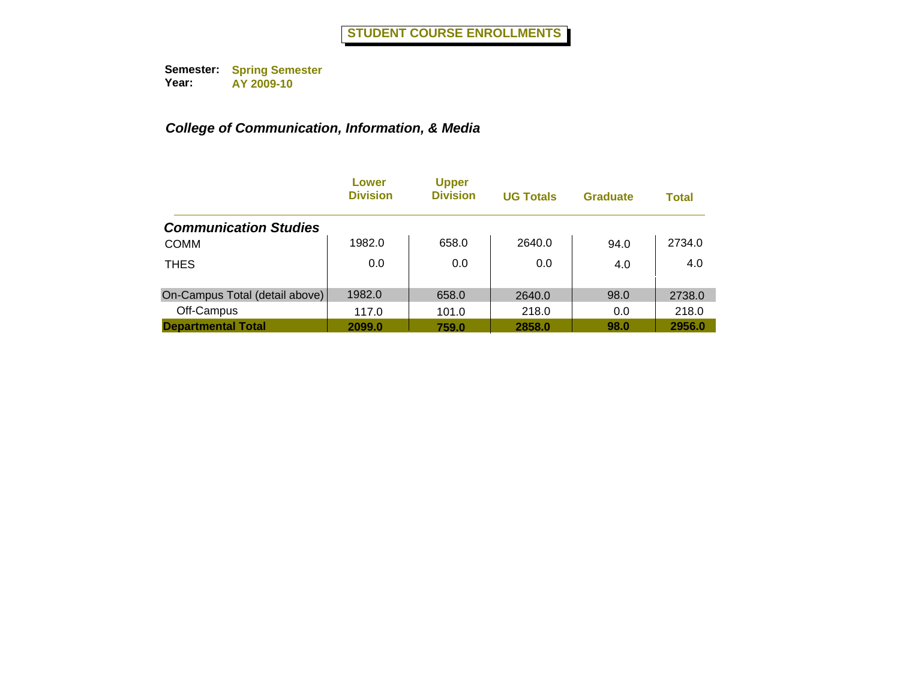|                                | Lower<br><b>Division</b> | <b>Upper</b><br><b>Division</b> | <b>UG Totals</b> | <b>Graduate</b> | <b>Total</b> |
|--------------------------------|--------------------------|---------------------------------|------------------|-----------------|--------------|
| <b>Communication Studies</b>   |                          |                                 |                  |                 |              |
| <b>COMM</b>                    | 1982.0                   | 658.0                           | 2640.0           | 94.0            | 2734.0       |
| <b>THES</b>                    | 0.0                      | 0.0                             | 0.0              | 4.0             | 4.0          |
| On-Campus Total (detail above) | 1982.0                   | 658.0                           | 2640.0           | 98.0            | 2738.0       |
| Off-Campus                     | 117.0                    | 101.0                           | 218.0            | 0.0             | 218.0        |
| <b>Departmental Total</b>      | 2099.0                   | 759.0                           | 2858.0           | 98.0            | 2956.0       |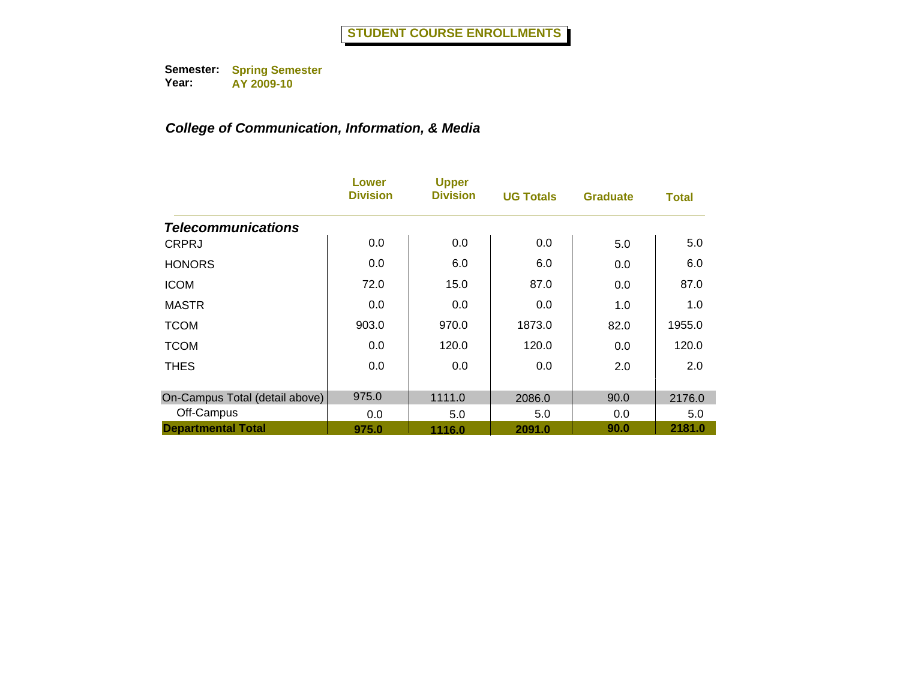|                                | Lower<br><b>Division</b> | <b>Upper</b><br><b>Division</b> | <b>UG Totals</b> | <b>Graduate</b> | <b>Total</b> |
|--------------------------------|--------------------------|---------------------------------|------------------|-----------------|--------------|
| <b>Telecommunications</b>      |                          |                                 |                  |                 |              |
| <b>CRPRJ</b>                   | 0.0                      | 0.0                             | 0.0              | 5.0             | 5.0          |
| <b>HONORS</b>                  | 0.0                      | 6.0                             | 6.0              | 0.0             | 6.0          |
| <b>ICOM</b>                    | 72.0                     | 15.0                            | 87.0             | 0.0             | 87.0         |
| <b>MASTR</b>                   | 0.0                      | 0.0                             | 0.0              | 1.0             | 1.0          |
| <b>TCOM</b>                    | 903.0                    | 970.0                           | 1873.0           | 82.0            | 1955.0       |
| <b>TCOM</b>                    | 0.0                      | 120.0                           | 120.0            | 0.0             | 120.0        |
| <b>THES</b>                    | 0.0                      | 0.0                             | 0.0              | 2.0             | 2.0          |
| On-Campus Total (detail above) | 975.0                    | 1111.0                          | 2086.0           | 90.0            | 2176.0       |
| Off-Campus                     | 0.0                      | 5.0                             | 5.0              | 0.0             | 5.0          |
| <b>Departmental Total</b>      | 975.0                    | 1116.0                          | 2091.0           | 90.0            | 2181.0       |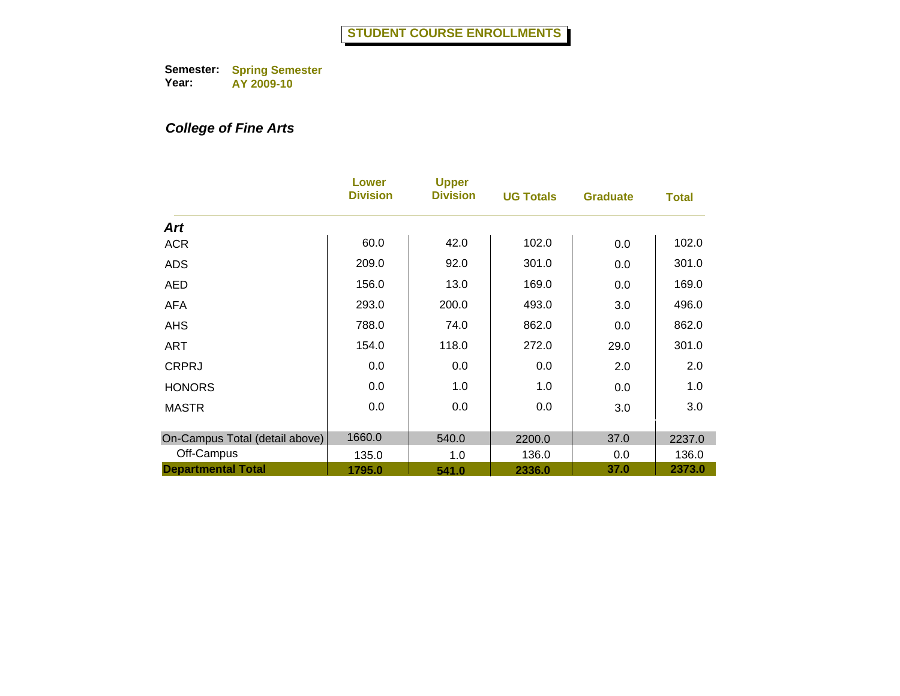# *College of Fine Arts*

|                                         | Lower<br><b>Division</b> | <b>Upper</b><br><b>Division</b> | <b>UG Totals</b> | <b>Graduate</b> | <b>Total</b>    |
|-----------------------------------------|--------------------------|---------------------------------|------------------|-----------------|-----------------|
| Art                                     |                          |                                 |                  |                 |                 |
| <b>ACR</b>                              | 60.0                     | 42.0                            | 102.0            | 0.0             | 102.0           |
| <b>ADS</b>                              | 209.0                    | 92.0                            | 301.0            | 0.0             | 301.0           |
| <b>AED</b>                              | 156.0                    | 13.0                            | 169.0            | 0.0             | 169.0           |
| <b>AFA</b>                              | 293.0                    | 200.0                           | 493.0            | 3.0             | 496.0           |
| <b>AHS</b>                              | 788.0                    | 74.0                            | 862.0            | 0.0             | 862.0           |
| <b>ART</b>                              | 154.0                    | 118.0                           | 272.0            | 29.0            | 301.0           |
| <b>CRPRJ</b>                            | 0.0                      | 0.0                             | 0.0              | 2.0             | 2.0             |
| <b>HONORS</b>                           | 0.0                      | 1.0                             | 1.0              | 0.0             | 1.0             |
| <b>MASTR</b>                            | 0.0                      | 0.0                             | 0.0              | 3.0             | 3.0             |
|                                         |                          |                                 |                  |                 |                 |
| On-Campus Total (detail above)          | 1660.0                   | 540.0                           | 2200.0           | 37.0            | 2237.0          |
| Off-Campus<br><b>Departmental Total</b> | 135.0<br>1795.0          | 1.0<br>541.0                    | 136.0<br>2336.0  | 0.0<br>37.0     | 136.0<br>2373.0 |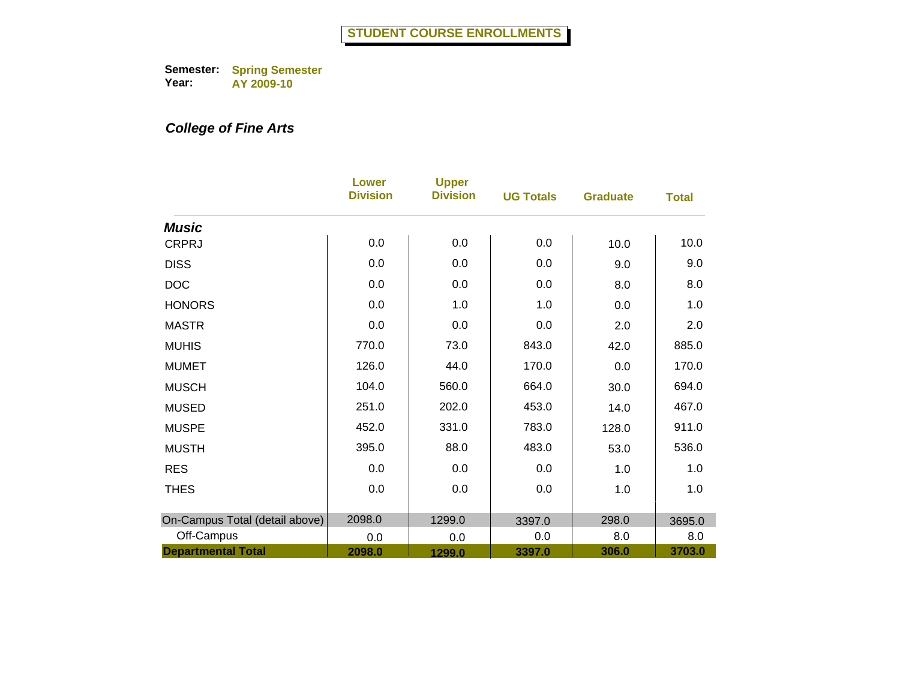# *College of Fine Arts*

|                                | <b>Lower</b><br><b>Division</b> | <b>Upper</b><br><b>Division</b> | <b>UG Totals</b> | <b>Graduate</b> | <b>Total</b> |
|--------------------------------|---------------------------------|---------------------------------|------------------|-----------------|--------------|
| <b>Music</b>                   |                                 |                                 |                  |                 |              |
| <b>CRPRJ</b>                   | 0.0                             | 0.0                             | 0.0              | 10.0            | 10.0         |
| <b>DISS</b>                    | 0.0                             | 0.0                             | 0.0              | 9.0             | 9.0          |
| <b>DOC</b>                     | 0.0                             | 0.0                             | 0.0              | 8.0             | 8.0          |
| <b>HONORS</b>                  | 0.0                             | 1.0                             | 1.0              | 0.0             | 1.0          |
| <b>MASTR</b>                   | 0.0                             | 0.0                             | 0.0              | 2.0             | 2.0          |
| <b>MUHIS</b>                   | 770.0                           | 73.0                            | 843.0            | 42.0            | 885.0        |
| <b>MUMET</b>                   | 126.0                           | 44.0                            | 170.0            | 0.0             | 170.0        |
| <b>MUSCH</b>                   | 104.0                           | 560.0                           | 664.0            | 30.0            | 694.0        |
| <b>MUSED</b>                   | 251.0                           | 202.0                           | 453.0            | 14.0            | 467.0        |
| <b>MUSPE</b>                   | 452.0                           | 331.0                           | 783.0            | 128.0           | 911.0        |
| <b>MUSTH</b>                   | 395.0                           | 88.0                            | 483.0            | 53.0            | 536.0        |
| <b>RES</b>                     | 0.0                             | 0.0                             | 0.0              | 1.0             | 1.0          |
| <b>THES</b>                    | 0.0                             | 0.0                             | 0.0              | 1.0             | 1.0          |
| On-Campus Total (detail above) | 2098.0                          | 1299.0                          | 3397.0           | 298.0           | 3695.0       |
| Off-Campus                     | 0.0                             | 0.0                             | 0.0              | 8.0             | 8.0          |
| <b>Departmental Total</b>      | 2098.0                          | 1299.0                          | 3397.0           | 306.0           | 3703.0       |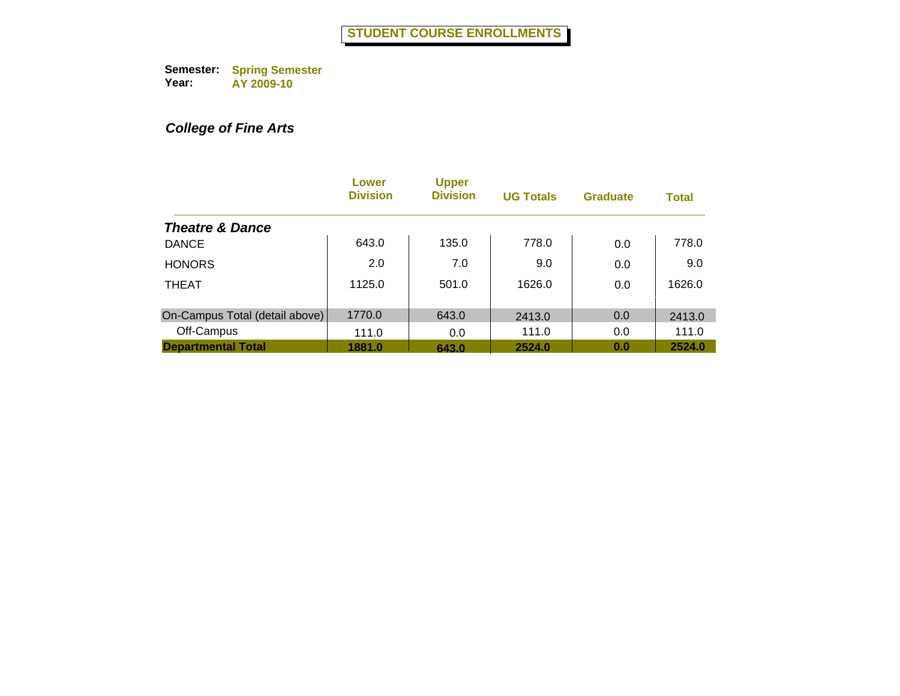# *College of Fine Arts*

|                                | Lower<br><b>Division</b> | <b>Upper</b><br><b>Division</b> | <b>UG Totals</b> | <b>Graduate</b> | <b>Total</b> |
|--------------------------------|--------------------------|---------------------------------|------------------|-----------------|--------------|
| <b>Theatre &amp; Dance</b>     |                          |                                 |                  |                 |              |
| <b>DANCE</b>                   | 643.0                    | 135.0                           | 778.0            | 0.0             | 778.0        |
| <b>HONORS</b>                  | 2.0                      | 7.0                             | 9.0              | 0.0             | 9.0          |
| <b>THEAT</b>                   | 1125.0                   | 501.0                           | 1626.0           | 0.0             | 1626.0       |
| On-Campus Total (detail above) | 1770.0                   | 643.0                           | 2413.0           | 0.0             | 2413.0       |
| Off-Campus                     | 111.0                    | 0.0                             | 111.0            | 0.0             | 111.0        |
| <b>Departmental Total</b>      | 1881.0                   | 643.0                           | 2524.0           | 0.0             | 2524.0       |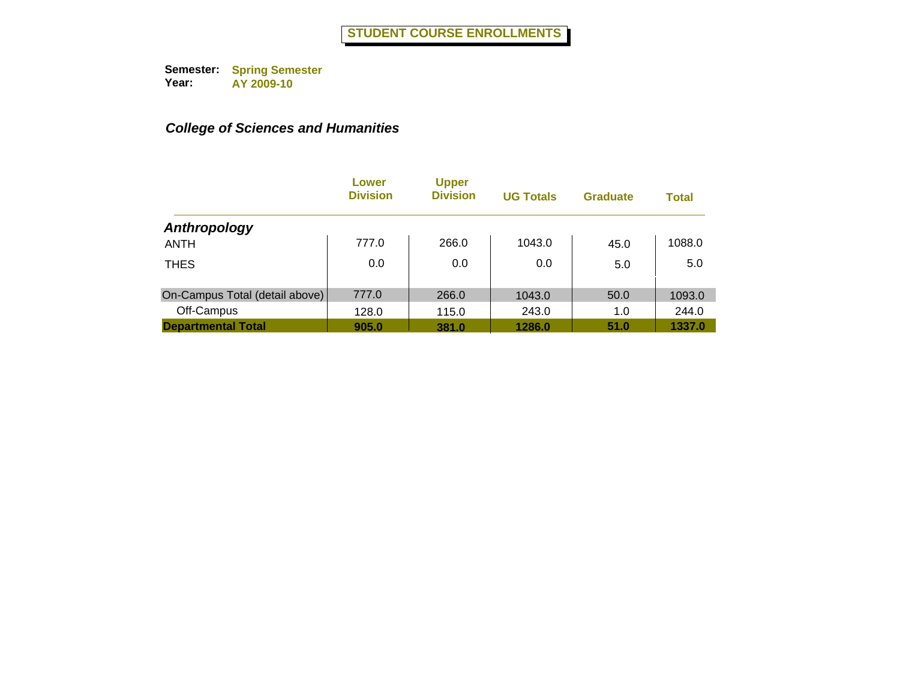|                                | Lower<br><b>Division</b> | <b>Upper</b><br><b>Division</b> | <b>UG Totals</b> | <b>Graduate</b> | <b>Total</b> |
|--------------------------------|--------------------------|---------------------------------|------------------|-----------------|--------------|
| Anthropology                   |                          |                                 |                  |                 |              |
| <b>ANTH</b>                    | 777.0                    | 266.0                           | 1043.0           | 45.0            | 1088.0       |
| <b>THES</b>                    | 0.0                      | 0.0                             | 0.0              | 5.0             | 5.0          |
| On-Campus Total (detail above) | 777.0                    | 266.0                           | 1043.0           | 50.0            | 1093.0       |
| Off-Campus                     | 128.0                    | 115.0                           | 243.0            | 1.0             | 244.0        |
| <b>Departmental Total</b>      | 905.0                    | 381.0                           | 1286.0           | 51.0            | 1337.0       |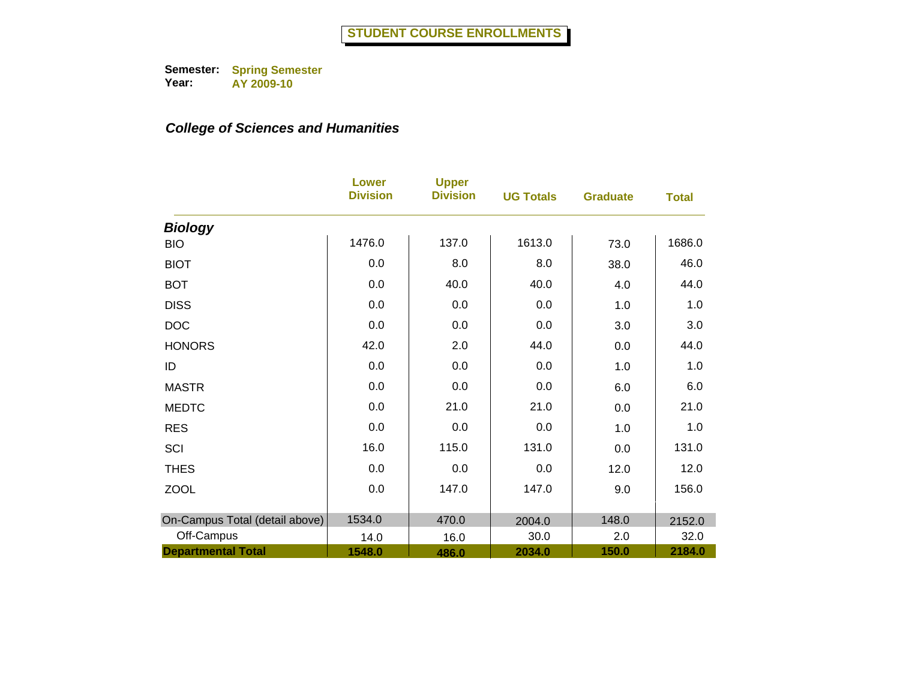|                                | <b>Lower</b><br><b>Division</b> | <b>Upper</b><br><b>Division</b> | <b>UG Totals</b> | <b>Graduate</b> | <b>Total</b> |
|--------------------------------|---------------------------------|---------------------------------|------------------|-----------------|--------------|
| <b>Biology</b>                 |                                 |                                 |                  |                 |              |
| <b>BIO</b>                     | 1476.0                          | 137.0                           | 1613.0           | 73.0            | 1686.0       |
| <b>BIOT</b>                    | 0.0                             | 8.0                             | 8.0              | 38.0            | 46.0         |
| <b>BOT</b>                     | 0.0                             | 40.0                            | 40.0             | 4.0             | 44.0         |
| <b>DISS</b>                    | 0.0                             | 0.0                             | 0.0              | 1.0             | 1.0          |
| <b>DOC</b>                     | 0.0                             | 0.0                             | 0.0              | 3.0             | 3.0          |
| <b>HONORS</b>                  | 42.0                            | 2.0                             | 44.0             | 0.0             | 44.0         |
| ID                             | 0.0                             | 0.0                             | 0.0              | 1.0             | 1.0          |
| <b>MASTR</b>                   | 0.0                             | 0.0                             | 0.0              | 6.0             | 6.0          |
| <b>MEDTC</b>                   | 0.0                             | 21.0                            | 21.0             | 0.0             | 21.0         |
| <b>RES</b>                     | 0.0                             | 0.0                             | 0.0              | 1.0             | 1.0          |
| SCI                            | 16.0                            | 115.0                           | 131.0            | 0.0             | 131.0        |
| <b>THES</b>                    | 0.0                             | 0.0                             | 0.0              | 12.0            | 12.0         |
| <b>ZOOL</b>                    | 0.0                             | 147.0                           | 147.0            | 9.0             | 156.0        |
| On-Campus Total (detail above) | 1534.0                          | 470.0                           | 2004.0           | 148.0           | 2152.0       |
| Off-Campus                     | 14.0                            | 16.0                            | 30.0             | 2.0             | 32.0         |
| <b>Departmental Total</b>      | 1548.0                          | 486.0                           | 2034.0           | 150.0           | 2184.0       |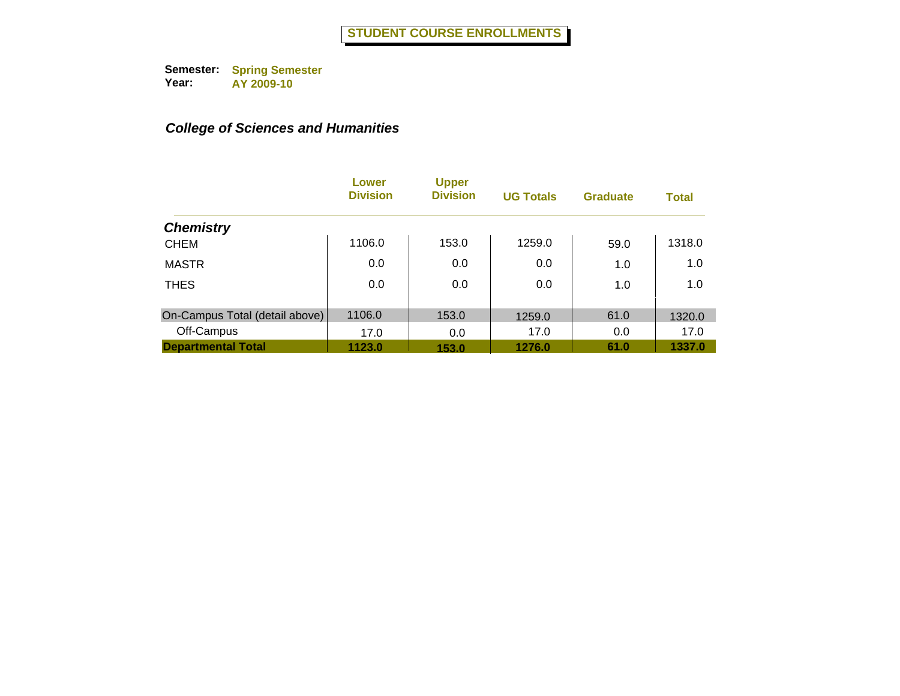|                                | Lower<br><b>Division</b> | <b>Upper</b><br><b>Division</b> | <b>UG Totals</b> | <b>Graduate</b> | <b>Total</b> |
|--------------------------------|--------------------------|---------------------------------|------------------|-----------------|--------------|
| <b>Chemistry</b>               |                          |                                 |                  |                 |              |
| <b>CHEM</b>                    | 1106.0                   | 153.0                           | 1259.0           | 59.0            | 1318.0       |
| <b>MASTR</b>                   | 0.0                      | 0.0                             | 0.0              | 1.0             | 1.0          |
| <b>THES</b>                    | 0.0                      | 0.0                             | 0.0              | 1.0             | 1.0          |
| On-Campus Total (detail above) | 1106.0                   | 153.0                           | 1259.0           | 61.0            | 1320.0       |
| Off-Campus                     | 17.0                     | 0.0                             | 17.0             | 0.0             | 17.0         |
| <b>Departmental Total</b>      | 1123.0                   | 153.0                           | 1276.0           | 61.0            | 1337.0       |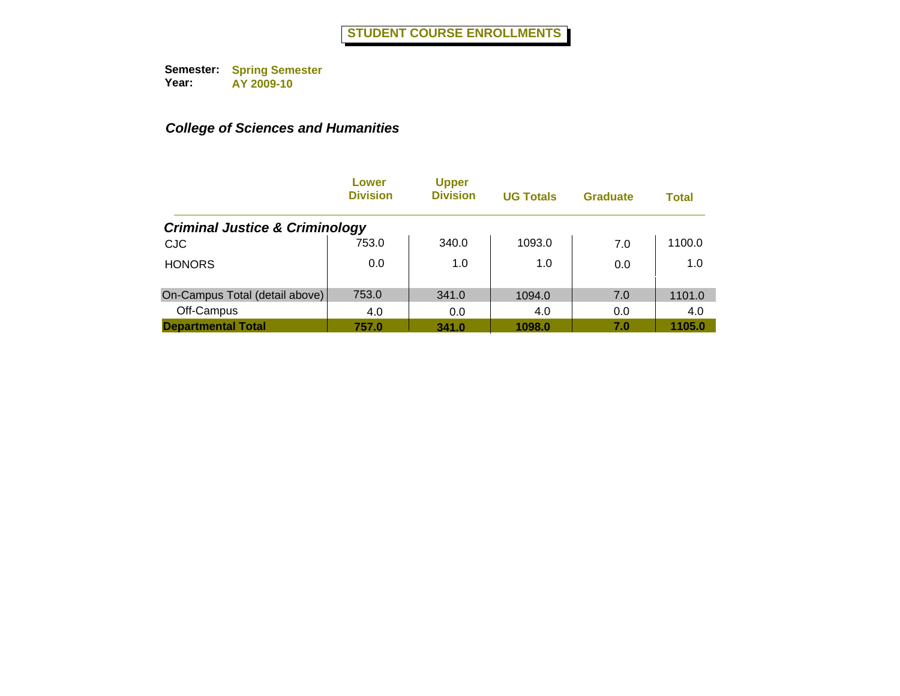|                                           | Lower<br><b>Division</b> | <b>Upper</b><br><b>Division</b> | <b>UG Totals</b> | <b>Graduate</b> | <b>Total</b> |
|-------------------------------------------|--------------------------|---------------------------------|------------------|-----------------|--------------|
| <b>Criminal Justice &amp; Criminology</b> |                          |                                 |                  |                 |              |
| <b>CJC</b>                                | 753.0                    | 340.0                           | 1093.0           | 7.0             | 1100.0       |
| <b>HONORS</b>                             | 0.0                      | 1.0                             | 1.0              | 0.0             | 1.0          |
| On-Campus Total (detail above)            | 753.0                    | 341.0                           | 1094.0           | 7.0             | 1101.0       |
| Off-Campus                                | 4.0                      | 0.0                             | 4.0              | 0.0             | 4.0          |
| <b>Departmental Total</b>                 | 757.0                    | 341.0                           | 1098.0           | 7.0             | 1105.0       |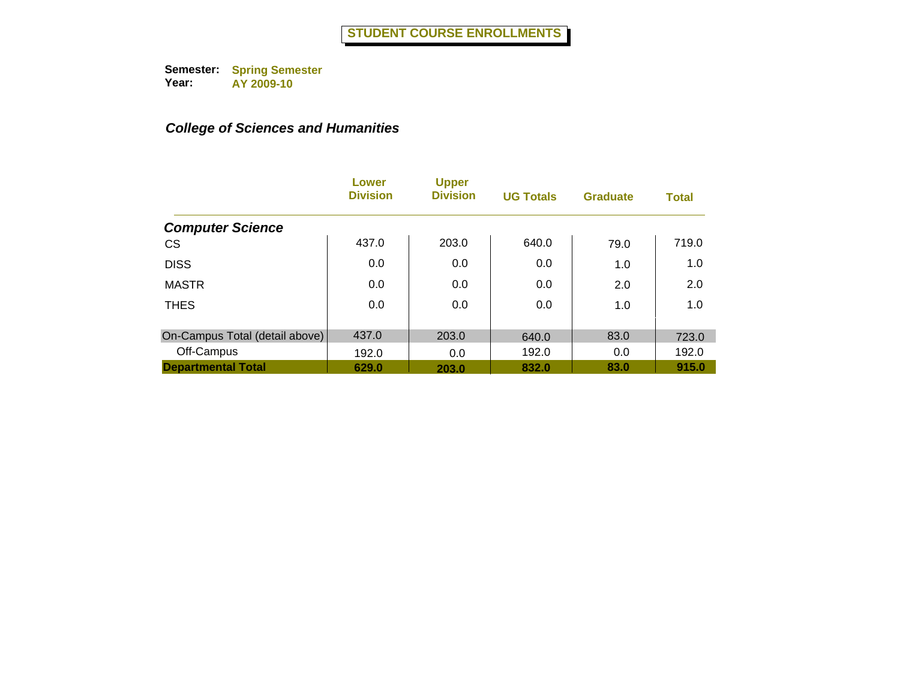|                                | Lower<br><b>Division</b> | <b>Upper</b><br><b>Division</b> | <b>UG Totals</b> | <b>Graduate</b> | <b>Total</b> |
|--------------------------------|--------------------------|---------------------------------|------------------|-----------------|--------------|
| <b>Computer Science</b>        |                          |                                 |                  |                 |              |
| <b>CS</b>                      | 437.0                    | 203.0                           | 640.0            | 79.0            | 719.0        |
| <b>DISS</b>                    | 0.0                      | 0.0                             | 0.0              | 1.0             | 1.0          |
| <b>MASTR</b>                   | 0.0                      | 0.0                             | 0.0              | 2.0             | 2.0          |
| <b>THES</b>                    | 0.0                      | 0.0                             | 0.0              | 1.0             | 1.0          |
|                                |                          |                                 |                  |                 |              |
| On-Campus Total (detail above) | 437.0                    | 203.0                           | 640.0            | 83.0            | 723.0        |
| Off-Campus                     | 192.0                    | 0.0                             | 192.0            | 0.0             | 192.0        |
| <b>Departmental Total</b>      | 629.0                    | 203.0                           | 832.0            | 83.0            | 915.0        |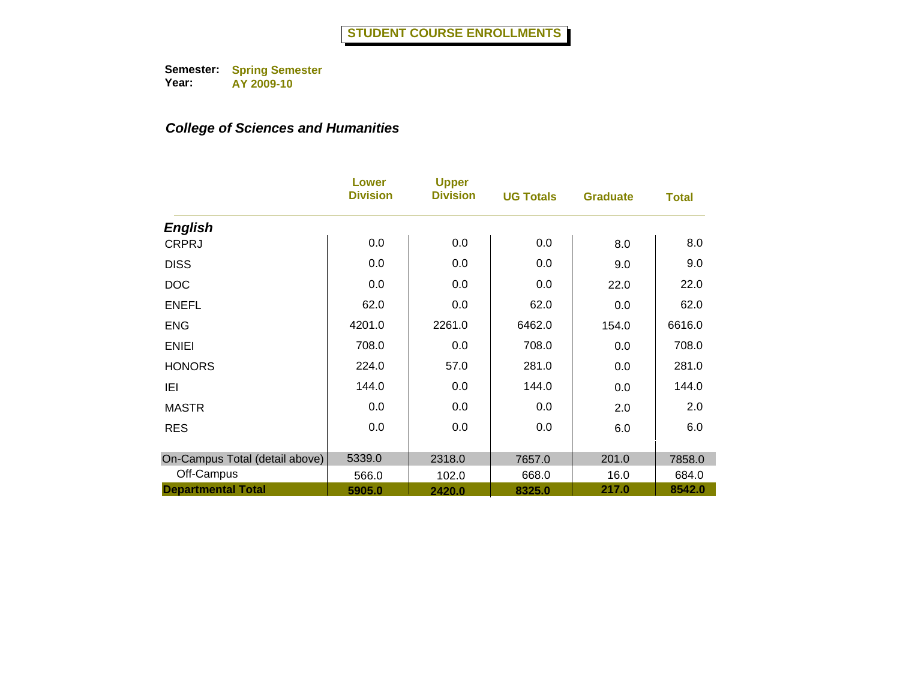|                                | <b>Lower</b><br><b>Division</b> | <b>Upper</b><br><b>Division</b> | <b>UG Totals</b> | <b>Graduate</b> | <b>Total</b> |
|--------------------------------|---------------------------------|---------------------------------|------------------|-----------------|--------------|
| <b>English</b>                 |                                 |                                 |                  |                 |              |
| <b>CRPRJ</b>                   | 0.0                             | 0.0                             | 0.0              | 8.0             | 8.0          |
| <b>DISS</b>                    | 0.0                             | 0.0                             | 0.0              | 9.0             | 9.0          |
| <b>DOC</b>                     | 0.0                             | 0.0                             | 0.0              | 22.0            | 22.0         |
| <b>ENEFL</b>                   | 62.0                            | 0.0                             | 62.0             | 0.0             | 62.0         |
| <b>ENG</b>                     | 4201.0                          | 2261.0                          | 6462.0           | 154.0           | 6616.0       |
| <b>ENIEI</b>                   | 708.0                           | 0.0                             | 708.0            | 0.0             | 708.0        |
| <b>HONORS</b>                  | 224.0                           | 57.0                            | 281.0            | 0.0             | 281.0        |
| IEI                            | 144.0                           | 0.0                             | 144.0            | 0.0             | 144.0        |
| <b>MASTR</b>                   | 0.0                             | 0.0                             | 0.0              | 2.0             | 2.0          |
| <b>RES</b>                     | 0.0                             | 0.0                             | 0.0              | 6.0             | 6.0          |
| On-Campus Total (detail above) | 5339.0                          | 2318.0                          | 7657.0           | 201.0           | 7858.0       |
| Off-Campus                     | 566.0                           | 102.0                           | 668.0            | 16.0            | 684.0        |
| <b>Departmental Total</b>      | 5905.0                          | 2420.0                          | 8325.0           | 217.0           | 8542.0       |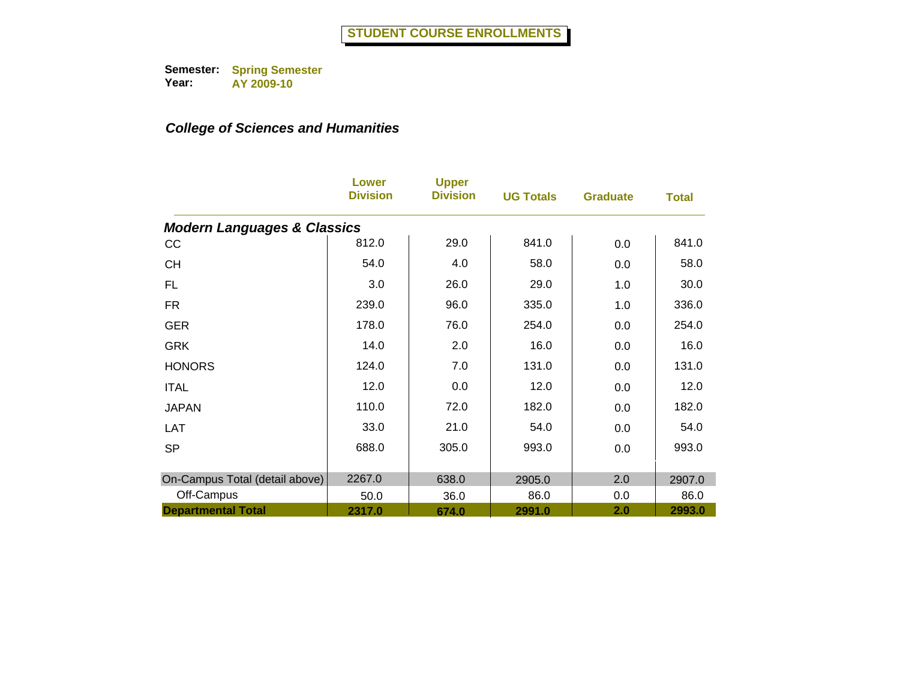|                                        | <b>Lower</b><br><b>Division</b> | <b>Upper</b><br><b>Division</b> | <b>UG Totals</b> | <b>Graduate</b> | <b>Total</b> |
|----------------------------------------|---------------------------------|---------------------------------|------------------|-----------------|--------------|
| <b>Modern Languages &amp; Classics</b> |                                 |                                 |                  |                 |              |
| cc                                     | 812.0                           | 29.0                            | 841.0            | 0.0             | 841.0        |
| <b>CH</b>                              | 54.0                            | 4.0                             | 58.0             | 0.0             | 58.0         |
| FL.                                    | 3.0                             | 26.0                            | 29.0             | 1.0             | 30.0         |
| <b>FR</b>                              | 239.0                           | 96.0                            | 335.0            | 1.0             | 336.0        |
| <b>GER</b>                             | 178.0                           | 76.0                            | 254.0            | 0.0             | 254.0        |
| <b>GRK</b>                             | 14.0                            | 2.0                             | 16.0             | 0.0             | 16.0         |
| <b>HONORS</b>                          | 124.0                           | 7.0                             | 131.0            | 0.0             | 131.0        |
| <b>ITAL</b>                            | 12.0                            | 0.0                             | 12.0             | 0.0             | 12.0         |
| <b>JAPAN</b>                           | 110.0                           | 72.0                            | 182.0            | 0.0             | 182.0        |
| LAT                                    | 33.0                            | 21.0                            | 54.0             | 0.0             | 54.0         |
| <b>SP</b>                              | 688.0                           | 305.0                           | 993.0            | 0.0             | 993.0        |
|                                        |                                 |                                 |                  |                 |              |
| On-Campus Total (detail above)         | 2267.0                          | 638.0                           | 2905.0           | 2.0             | 2907.0       |
| Off-Campus                             | 50.0                            | 36.0                            | 86.0             | 0.0             | 86.0         |
| <b>Departmental Total</b>              | 2317.0                          | 674.0                           | 2991.0           | 2.0             | 2993.0       |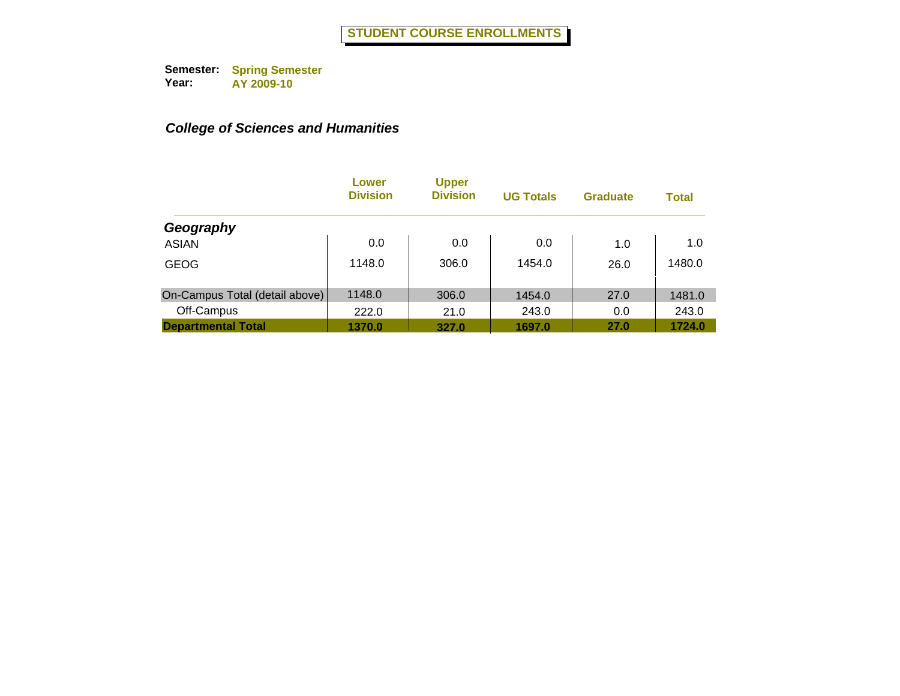|                                | Lower<br><b>Division</b> | <b>Upper</b><br><b>Division</b> | <b>UG Totals</b> | <b>Graduate</b> | <b>Total</b> |
|--------------------------------|--------------------------|---------------------------------|------------------|-----------------|--------------|
| Geography                      |                          |                                 |                  |                 |              |
| <b>ASIAN</b>                   | 0.0                      | 0.0                             | 0.0              | 1.0             | 1.0          |
| <b>GEOG</b>                    | 1148.0                   | 306.0                           | 1454.0           | 26.0            | 1480.0       |
| On-Campus Total (detail above) | 1148.0                   | 306.0                           | 1454.0           | 27.0            | 1481.0       |
| Off-Campus                     | 222.0                    | 21.0                            | 243.0            | 0.0             | 243.0        |
| <b>Departmental Total</b>      | 1370.0                   | 327.0                           | 1697.0           | 27.0            | 1724.0       |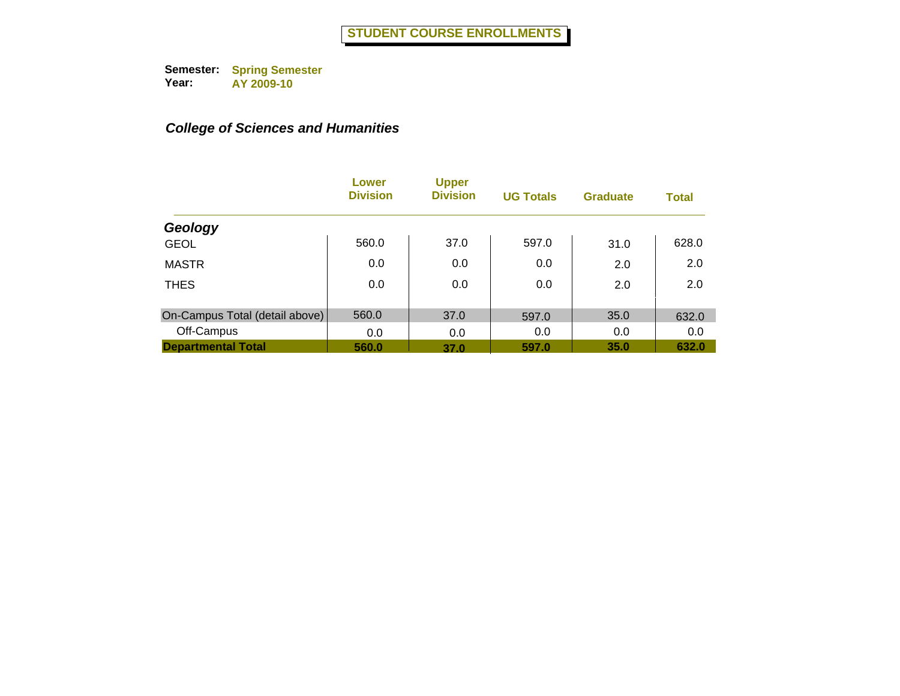|                                | Lower<br><b>Division</b> | <b>Upper</b><br><b>Division</b> | <b>UG Totals</b> | <b>Graduate</b> | <b>Total</b> |
|--------------------------------|--------------------------|---------------------------------|------------------|-----------------|--------------|
| Geology                        |                          |                                 |                  |                 |              |
| <b>GEOL</b>                    | 560.0                    | 37.0                            | 597.0            | 31.0            | 628.0        |
| <b>MASTR</b>                   | 0.0                      | 0.0                             | 0.0              | 2.0             | 2.0          |
| <b>THES</b>                    | 0.0                      | 0.0                             | 0.0              | 2.0             | 2.0          |
| On-Campus Total (detail above) | 560.0                    | 37.0                            | 597.0            | 35.0            | 632.0        |
| Off-Campus                     | 0.0                      | 0.0                             | 0.0              | 0.0             | 0.0          |
| <b>Departmental Total</b>      | 560.0                    | 37.0                            | 597.0            | 35.0            | 632.0        |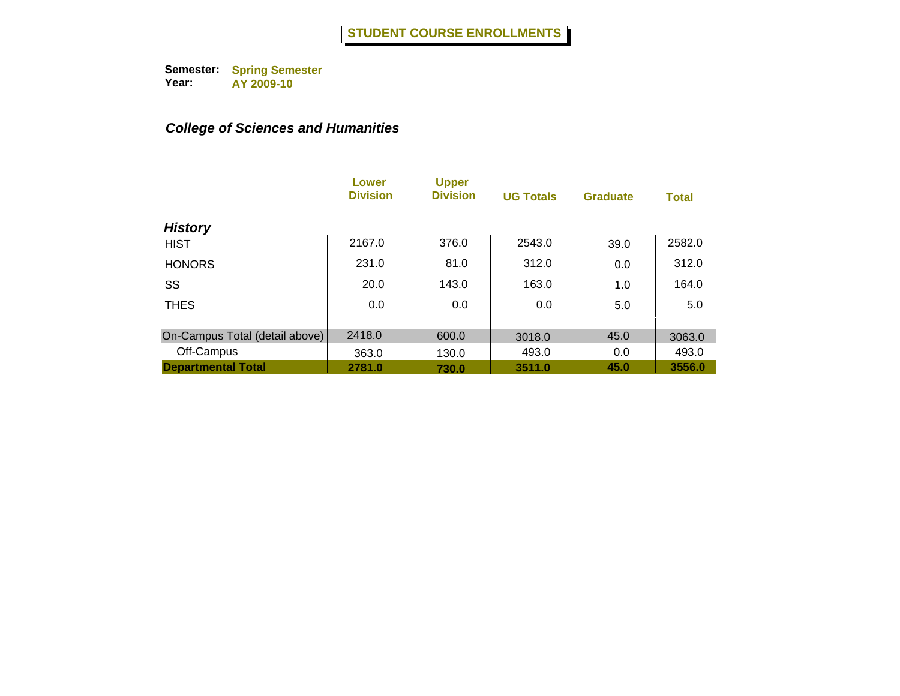|                                | Lower<br><b>Division</b> | <b>Upper</b><br><b>Division</b> | <b>UG Totals</b> | <b>Graduate</b> | <b>Total</b> |
|--------------------------------|--------------------------|---------------------------------|------------------|-----------------|--------------|
| <b>History</b>                 |                          |                                 |                  |                 |              |
| <b>HIST</b>                    | 2167.0                   | 376.0                           | 2543.0           | 39.0            | 2582.0       |
| <b>HONORS</b>                  | 231.0                    | 81.0                            | 312.0            | 0.0             | 312.0        |
| SS                             | 20.0                     | 143.0                           | 163.0            | 1.0             | 164.0        |
| <b>THES</b>                    | 0.0                      | 0.0                             | 0.0              | 5.0             | 5.0          |
|                                |                          |                                 |                  |                 |              |
| On-Campus Total (detail above) | 2418.0                   | 600.0                           | 3018.0           | 45.0            | 3063.0       |
| Off-Campus                     | 363.0                    | 130.0                           | 493.0            | 0.0             | 493.0        |
| <b>Departmental Total</b>      | 2781.0                   | 730.0                           | 3511.0           | 45.0            | 3556.0       |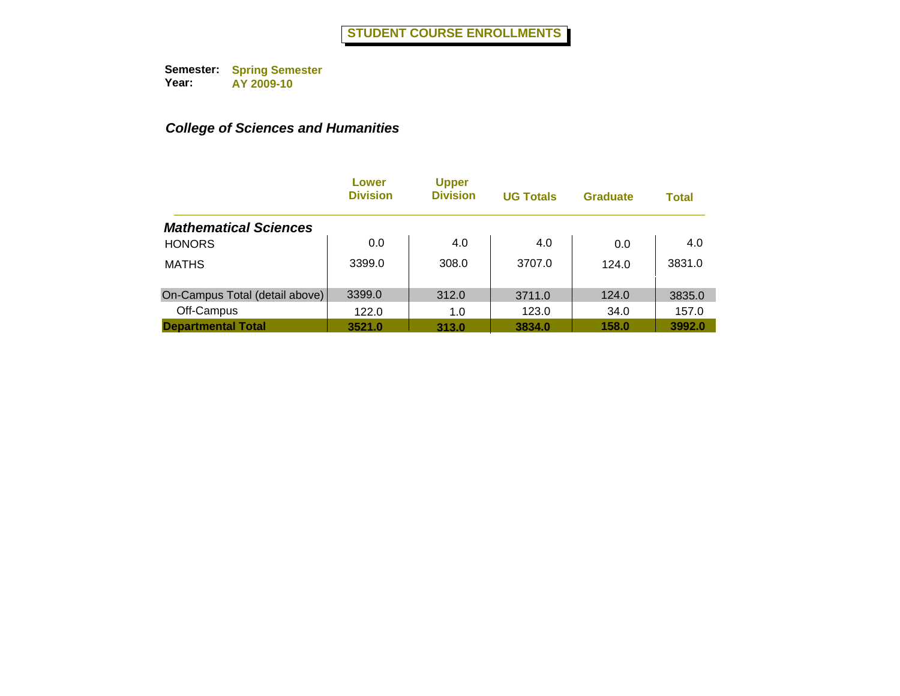|                                | Lower<br><b>Division</b> | <b>Upper</b><br><b>Division</b> | <b>UG Totals</b> | <b>Graduate</b> | <b>Total</b> |
|--------------------------------|--------------------------|---------------------------------|------------------|-----------------|--------------|
| <b>Mathematical Sciences</b>   |                          |                                 |                  |                 |              |
| <b>HONORS</b>                  | 0.0                      | 4.0                             | 4.0              | 0.0             | 4.0          |
| <b>MATHS</b>                   | 3399.0                   | 308.0                           | 3707.0           | 124.0           | 3831.0       |
| On-Campus Total (detail above) | 3399.0                   | 312.0                           | 3711.0           | 124.0           | 3835.0       |
| Off-Campus                     | 122.0                    | 1.0                             | 123.0            | 34.0            | 157.0        |
| <b>Departmental Total</b>      | 3521.0                   | 313.0                           | 3834.0           | 158.0           | 3992.0       |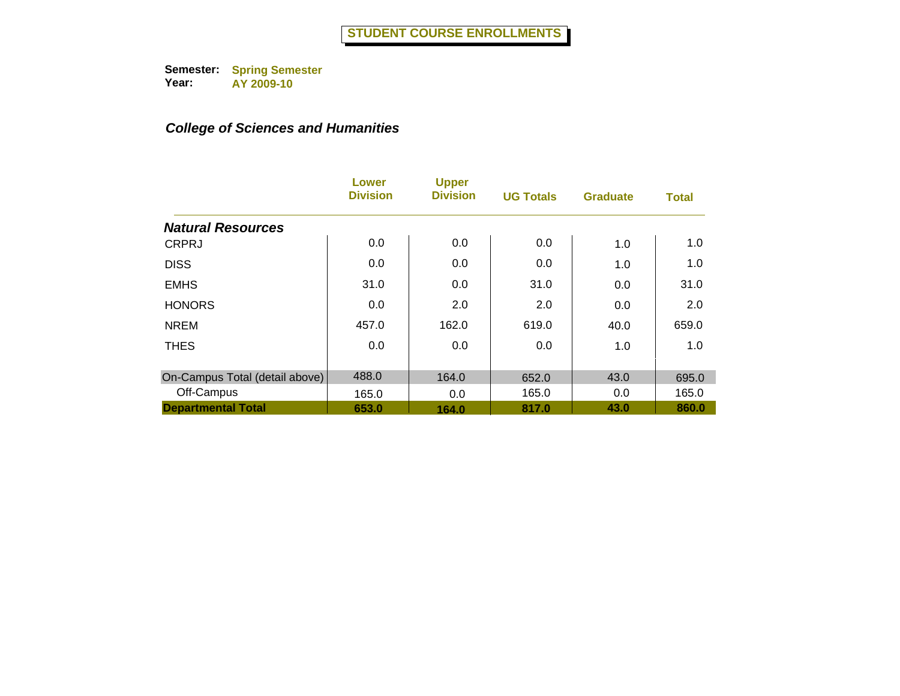|                                | Lower<br><b>Division</b> | <b>Upper</b><br><b>Division</b> | <b>UG Totals</b> | <b>Graduate</b> | <b>Total</b> |
|--------------------------------|--------------------------|---------------------------------|------------------|-----------------|--------------|
| <b>Natural Resources</b>       |                          |                                 |                  |                 |              |
| <b>CRPRJ</b>                   | 0.0                      | 0.0                             | 0.0              | 1.0             | 1.0          |
| <b>DISS</b>                    | 0.0                      | 0.0                             | 0.0              | 1.0             | 1.0          |
| <b>EMHS</b>                    | 31.0                     | 0.0                             | 31.0             | 0.0             | 31.0         |
| <b>HONORS</b>                  | 0.0                      | 2.0                             | 2.0              | 0.0             | 2.0          |
| <b>NREM</b>                    | 457.0                    | 162.0                           | 619.0            | 40.0            | 659.0        |
| <b>THES</b>                    | 0.0                      | 0.0                             | 0.0              | 1.0             | 1.0          |
| On-Campus Total (detail above) | 488.0                    | 164.0                           | 652.0            | 43.0            | 695.0        |
| Off-Campus                     | 165.0                    | 0.0                             | 165.0            | 0.0             | 165.0        |
| <b>Departmental Total</b>      | 653.0                    | 164.0                           | 817.0            | 43.0            | 860.0        |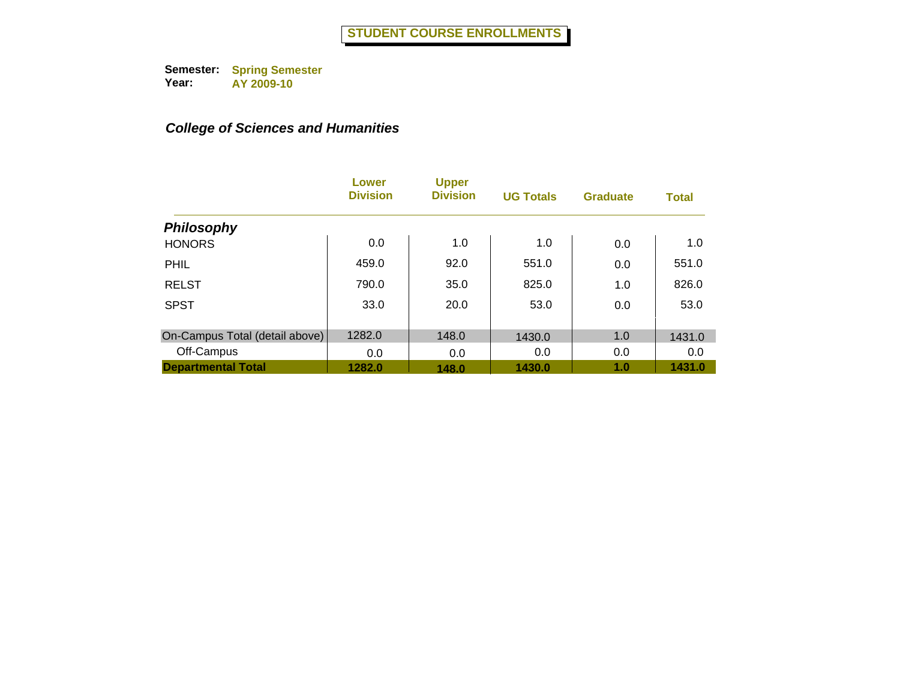|                                | Lower<br><b>Division</b> | <b>Upper</b><br><b>Division</b> | <b>UG Totals</b> | <b>Graduate</b> | <b>Total</b> |
|--------------------------------|--------------------------|---------------------------------|------------------|-----------------|--------------|
| <b>Philosophy</b>              |                          |                                 |                  |                 |              |
| <b>HONORS</b>                  | 0.0                      | 1.0                             | 1.0              | 0.0             | 1.0          |
| PHIL                           | 459.0                    | 92.0                            | 551.0            | 0.0             | 551.0        |
| <b>RELST</b>                   | 790.0                    | 35.0                            | 825.0            | 1.0             | 826.0        |
| <b>SPST</b>                    | 33.0                     | 20.0                            | 53.0             | 0.0             | 53.0         |
| On-Campus Total (detail above) | 1282.0                   | 148.0                           | 1430.0           | 1.0             | 1431.0       |
| Off-Campus                     | 0.0                      | 0.0                             | 0.0              | 0.0             | 0.0          |
| <b>Departmental Total</b>      | 1282.0                   | 148.0                           | 1430.0           | 1.0             | 1431.0       |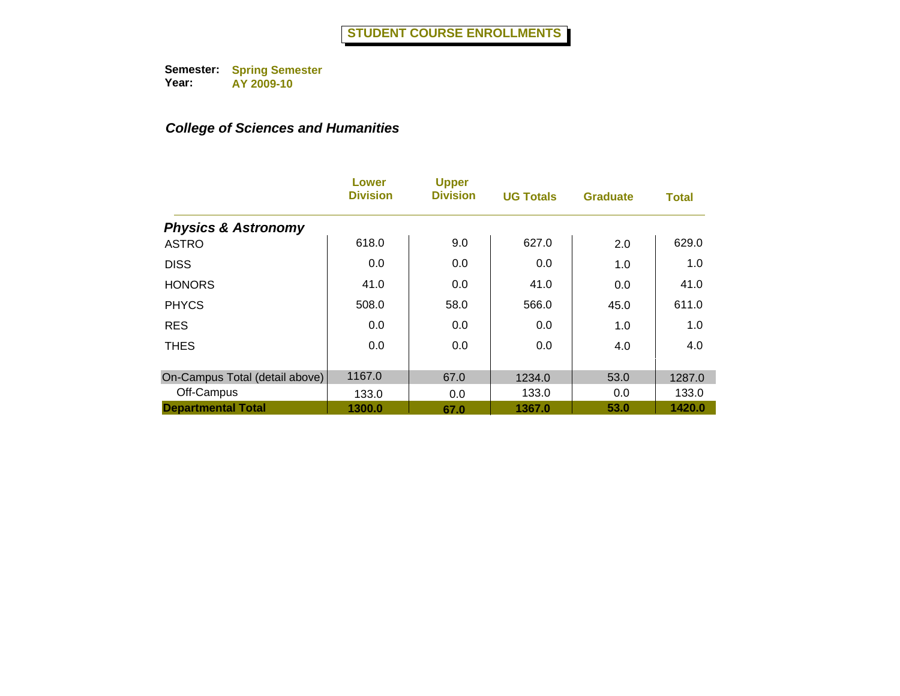|                                | <b>Lower</b><br><b>Division</b> | <b>Upper</b><br><b>Division</b> | <b>UG Totals</b> | <b>Graduate</b> | <b>Total</b> |
|--------------------------------|---------------------------------|---------------------------------|------------------|-----------------|--------------|
| <b>Physics &amp; Astronomy</b> |                                 |                                 |                  |                 |              |
| <b>ASTRO</b>                   | 618.0                           | 9.0                             | 627.0            | 2.0             | 629.0        |
| <b>DISS</b>                    | 0.0                             | 0.0                             | 0.0              | 1.0             | 1.0          |
| <b>HONORS</b>                  | 41.0                            | 0.0                             | 41.0             | 0.0             | 41.0         |
| <b>PHYCS</b>                   | 508.0                           | 58.0                            | 566.0            | 45.0            | 611.0        |
| <b>RES</b>                     | 0.0                             | 0.0                             | 0.0              | 1.0             | 1.0          |
| <b>THES</b>                    | 0.0                             | 0.0                             | 0.0              | 4.0             | 4.0          |
| On-Campus Total (detail above) | 1167.0                          | 67.0                            | 1234.0           | 53.0            | 1287.0       |
| Off-Campus                     | 133.0                           | 0.0                             | 133.0            | 0.0             | 133.0        |
| <b>Departmental Total</b>      | 1300.0                          | 67.0                            | 1367.0           | 53.0            | 1420.0       |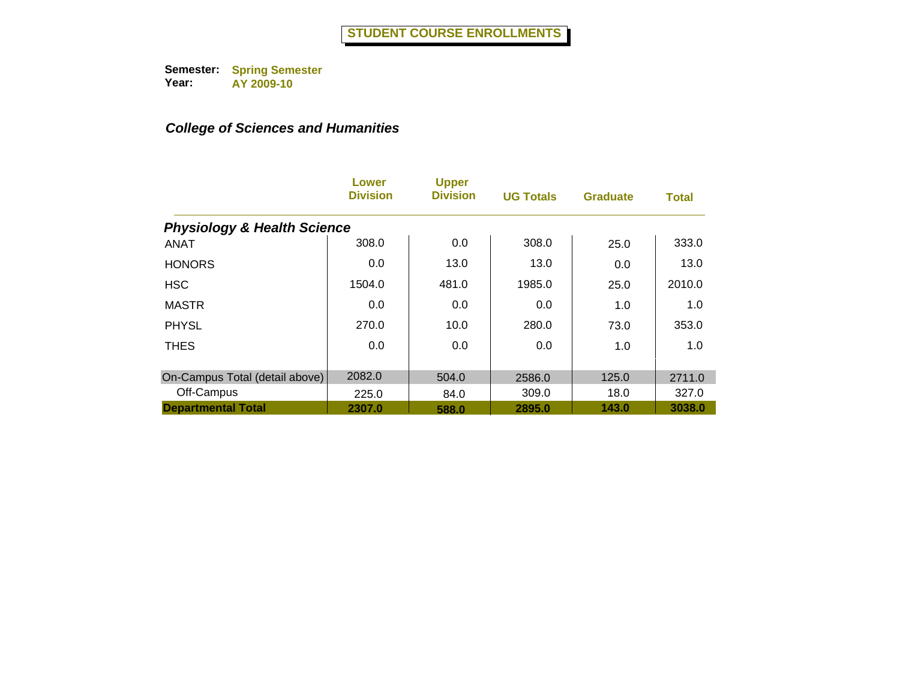|                                        | Lower<br><b>Division</b> | <b>Upper</b><br><b>Division</b> | <b>UG Totals</b> | <b>Graduate</b> | <b>Total</b> |
|----------------------------------------|--------------------------|---------------------------------|------------------|-----------------|--------------|
| <b>Physiology &amp; Health Science</b> |                          |                                 |                  |                 |              |
| <b>ANAT</b>                            | 308.0                    | 0.0                             | 308.0            | 25.0            | 333.0        |
| <b>HONORS</b>                          | 0.0                      | 13.0                            | 13.0             | 0.0             | 13.0         |
| <b>HSC</b>                             | 1504.0                   | 481.0                           | 1985.0           | 25.0            | 2010.0       |
| <b>MASTR</b>                           | 0.0                      | 0.0                             | 0.0              | 1.0             | 1.0          |
| <b>PHYSL</b>                           | 270.0                    | 10.0                            | 280.0            | 73.0            | 353.0        |
| <b>THES</b>                            | 0.0                      | 0.0                             | 0.0              | 1.0             | 1.0          |
| On-Campus Total (detail above)         | 2082.0                   | 504.0                           | 2586.0           | 125.0           | 2711.0       |
| Off-Campus                             | 225.0                    | 84.0                            | 309.0            | 18.0            | 327.0        |
| <b>Departmental Total</b>              | 2307.0                   | 588.0                           | 2895.0           | 143.0           | 3038.0       |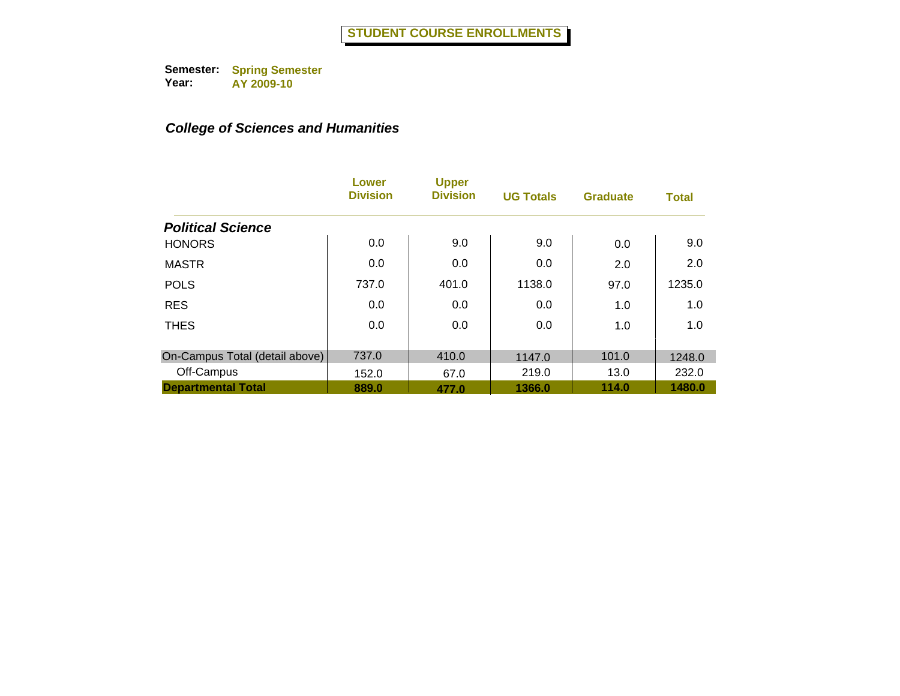|                                | Lower<br><b>Division</b> | <b>Upper</b><br><b>Division</b> | <b>UG Totals</b> | <b>Graduate</b> | <b>Total</b> |
|--------------------------------|--------------------------|---------------------------------|------------------|-----------------|--------------|
| <b>Political Science</b>       |                          |                                 |                  |                 |              |
| <b>HONORS</b>                  | 0.0                      | 9.0                             | 9.0              | 0.0             | 9.0          |
| <b>MASTR</b>                   | 0.0                      | 0.0                             | 0.0              | 2.0             | 2.0          |
| <b>POLS</b>                    | 737.0                    | 401.0                           | 1138.0           | 97.0            | 1235.0       |
| <b>RES</b>                     | 0.0                      | 0.0                             | 0.0              | 1.0             | 1.0          |
| <b>THES</b>                    | 0.0                      | 0.0                             | 0.0              | 1.0             | 1.0          |
| On-Campus Total (detail above) | 737.0                    | 410.0                           | 1147.0           | 101.0           | 1248.0       |
| Off-Campus                     | 152.0                    | 67.0                            | 219.0            | 13.0            | 232.0        |
| <b>Departmental Total</b>      | 889.0                    | 477.0                           | 1366.0           | 114.0           | 1480.0       |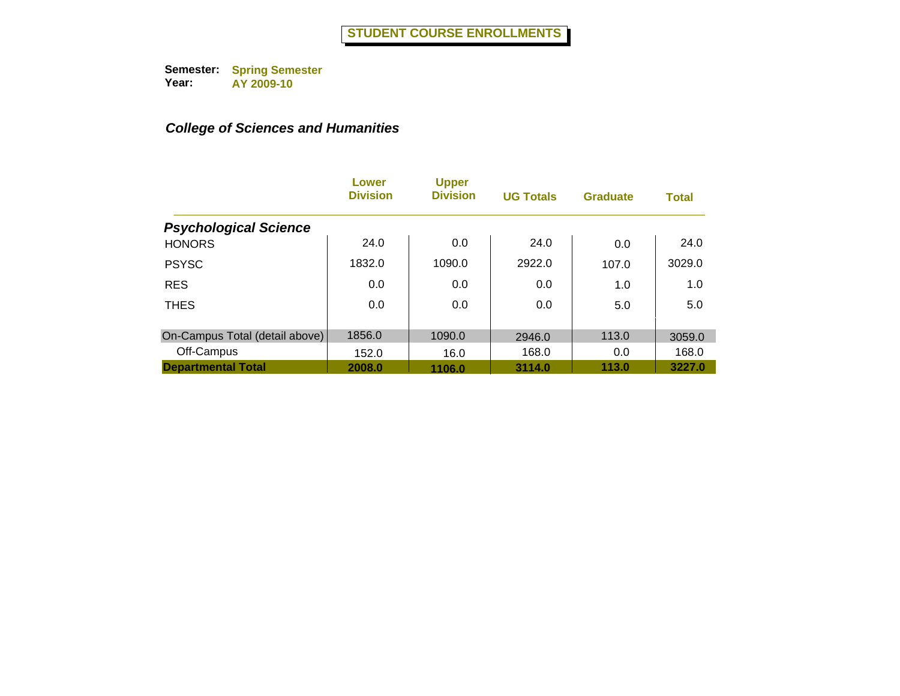|                                | Lower<br><b>Division</b> | <b>Upper</b><br><b>Division</b> | <b>UG Totals</b> | <b>Graduate</b> | <b>Total</b> |
|--------------------------------|--------------------------|---------------------------------|------------------|-----------------|--------------|
| <b>Psychological Science</b>   |                          |                                 |                  |                 |              |
| <b>HONORS</b>                  | 24.0                     | 0.0                             | 24.0             | 0.0             | 24.0         |
| <b>PSYSC</b>                   | 1832.0                   | 1090.0                          | 2922.0           | 107.0           | 3029.0       |
| <b>RES</b>                     | 0.0                      | 0.0                             | 0.0              | 1.0             | 1.0          |
| <b>THES</b>                    | 0.0                      | 0.0                             | 0.0              | 5.0             | 5.0          |
|                                |                          |                                 |                  |                 |              |
| On-Campus Total (detail above) | 1856.0                   | 1090.0                          | 2946.0           | 113.0           | 3059.0       |
| Off-Campus                     | 152.0                    | 16.0                            | 168.0            | 0.0             | 168.0        |
| <b>Departmental Total</b>      | 2008.0                   | 1106.0                          | 3114.0           | 113.0           | 3227.0       |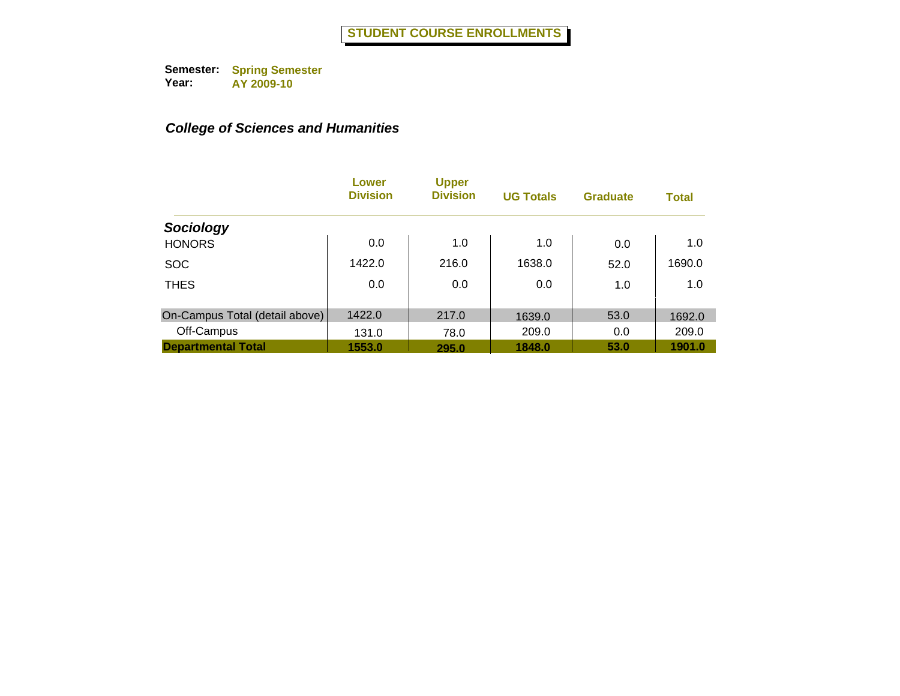|                                | Lower<br><b>Division</b> | <b>Upper</b><br><b>Division</b> | <b>UG Totals</b> | <b>Graduate</b> | <b>Total</b> |
|--------------------------------|--------------------------|---------------------------------|------------------|-----------------|--------------|
| Sociology                      |                          |                                 |                  |                 |              |
| <b>HONORS</b>                  | 0.0                      | 1.0                             | 1.0              | 0.0             | 1.0          |
| <b>SOC</b>                     | 1422.0                   | 216.0                           | 1638.0           | 52.0            | 1690.0       |
| <b>THES</b>                    | 0.0                      | 0.0                             | 0.0              | 1.0             | 1.0          |
| On-Campus Total (detail above) | 1422.0                   | 217.0                           | 1639.0           | 53.0            | 1692.0       |
| Off-Campus                     | 131.0                    | 78.0                            | 209.0            | 0.0             | 209.0        |
| <b>Departmental Total</b>      | 1553.0                   | 295.0                           | 1848.0           | 53.0            | 1901.0       |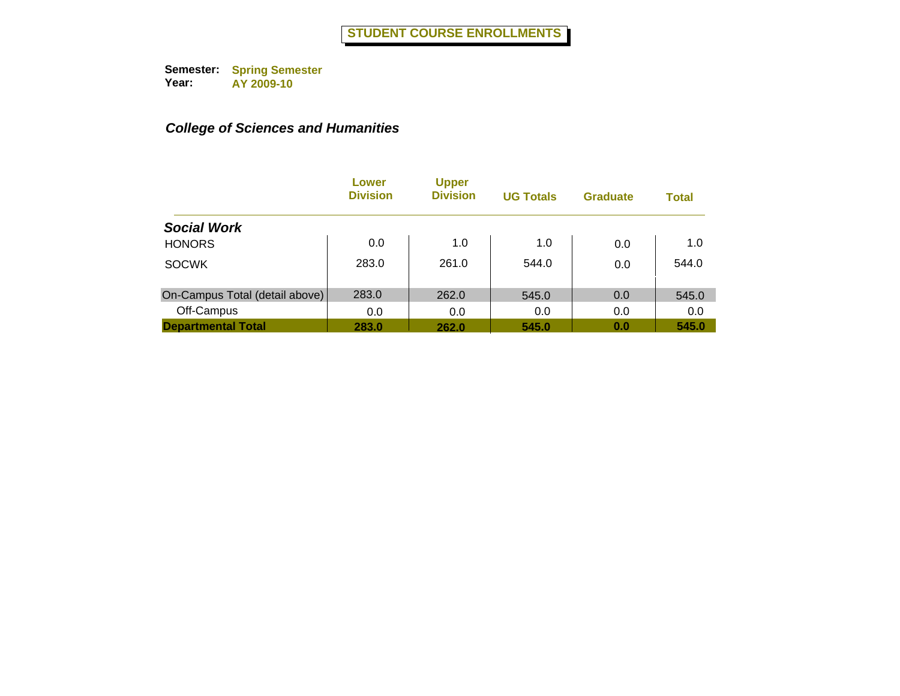|                                | Lower<br><b>Division</b> | <b>Upper</b><br><b>Division</b> | <b>UG Totals</b> | <b>Graduate</b> | <b>Total</b> |
|--------------------------------|--------------------------|---------------------------------|------------------|-----------------|--------------|
| <b>Social Work</b>             |                          |                                 |                  |                 |              |
| <b>HONORS</b>                  | 0.0                      | 1.0                             | 1.0              | 0.0             | 1.0          |
| <b>SOCWK</b>                   | 283.0                    | 261.0                           | 544.0            | 0.0             | 544.0        |
| On-Campus Total (detail above) | 283.0                    | 262.0                           | 545.0            | 0.0             | 545.0        |
| Off-Campus                     | 0.0                      | 0.0                             | 0.0              | 0.0             | 0.0          |
| <b>Departmental Total</b>      | 283.0                    | 262.0                           | 545.0            | 0.0             | 545.0        |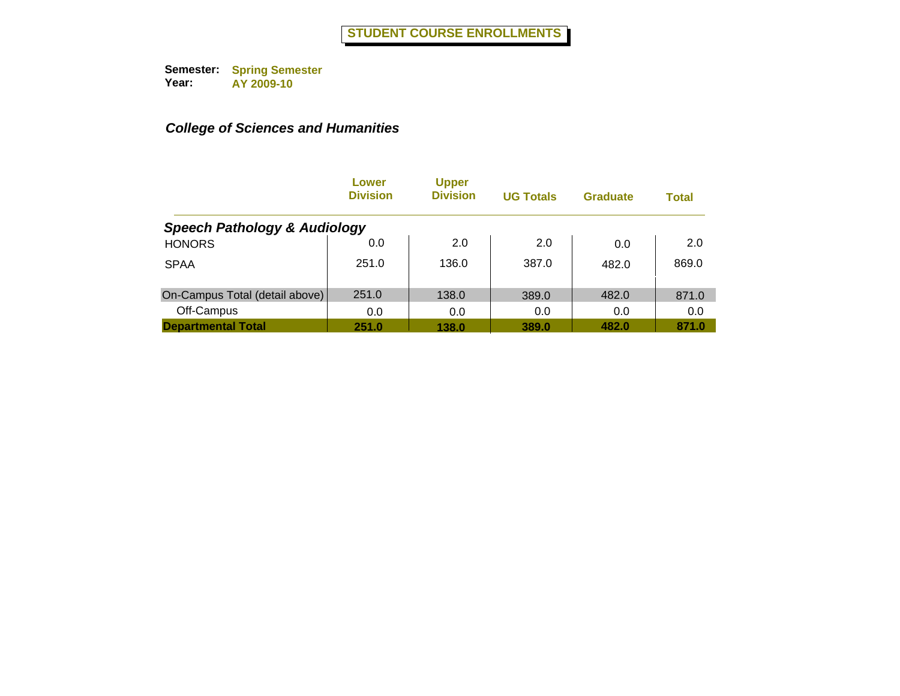|                                         | Lower<br><b>Division</b> | <b>Upper</b><br><b>Division</b> | <b>UG Totals</b> | <b>Graduate</b> | <b>Total</b> |
|-----------------------------------------|--------------------------|---------------------------------|------------------|-----------------|--------------|
| <b>Speech Pathology &amp; Audiology</b> |                          |                                 |                  |                 |              |
| <b>HONORS</b>                           | 0.0                      | 2.0                             | 2.0              | 0.0             | 2.0          |
| <b>SPAA</b>                             | 251.0                    | 136.0                           | 387.0            | 482.0           | 869.0        |
| On-Campus Total (detail above)          | 251.0                    | 138.0                           | 389.0            | 482.0           | 871.0        |
| Off-Campus                              | 0.0                      | 0.0                             | 0.0              | 0.0             | 0.0          |
| <b>Departmental Total</b>               | 251.0                    | 138.0                           | 389.0            | 482.0           | 871.0        |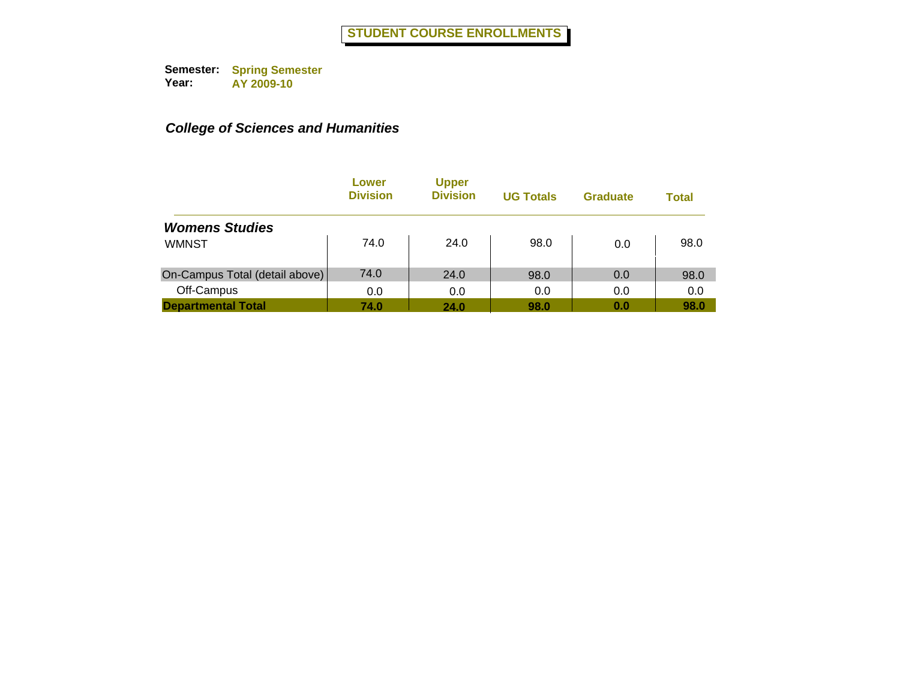|                                | Lower<br><b>Division</b> | <b>Upper</b><br><b>Division</b> | <b>UG Totals</b> | <b>Graduate</b> | <b>Total</b> |
|--------------------------------|--------------------------|---------------------------------|------------------|-----------------|--------------|
| <b>Womens Studies</b>          |                          |                                 |                  |                 |              |
| <b>WMNST</b>                   | 74.0                     | 24.0                            | 98.0             | 0.0             | 98.0         |
| On-Campus Total (detail above) | 74.0                     | 24.0                            | 98.0             | 0.0             | 98.0         |
| Off-Campus                     | 0.0                      | 0.0                             | 0.0              | 0.0             | 0.0          |
| <b>Departmental Total</b>      | 74.0                     | 24.0                            | 98.0             | 0.0             | 98.0         |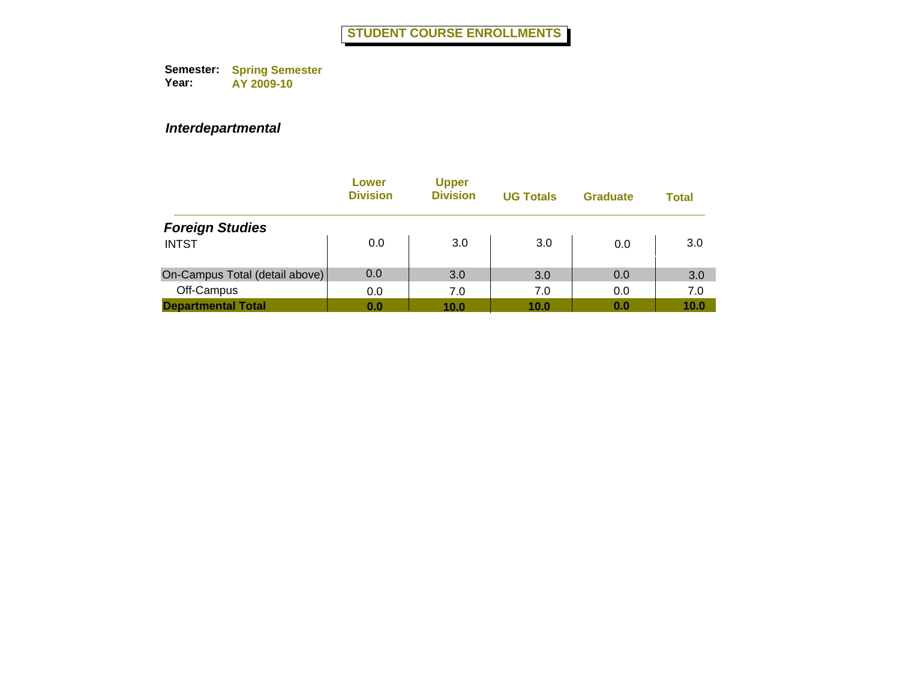|                                | Lower<br><b>Division</b> | <b>Upper</b><br><b>Division</b> | <b>UG Totals</b> | <b>Graduate</b> | Total |
|--------------------------------|--------------------------|---------------------------------|------------------|-----------------|-------|
| <b>Foreign Studies</b>         |                          |                                 |                  |                 |       |
| <b>INTST</b>                   | 0.0                      | 3.0                             | 3.0              | 0.0             | 3.0   |
| On-Campus Total (detail above) | 0.0                      | 3.0                             | 3.0              | 0.0             | 3.0   |
| Off-Campus                     | 0.0                      | 7.0                             | 7.0              | 0.0             | 7.0   |
| <b>Departmental Total</b>      | 0.0                      | 10.0                            | 10.0             | 0.0             | 10.0  |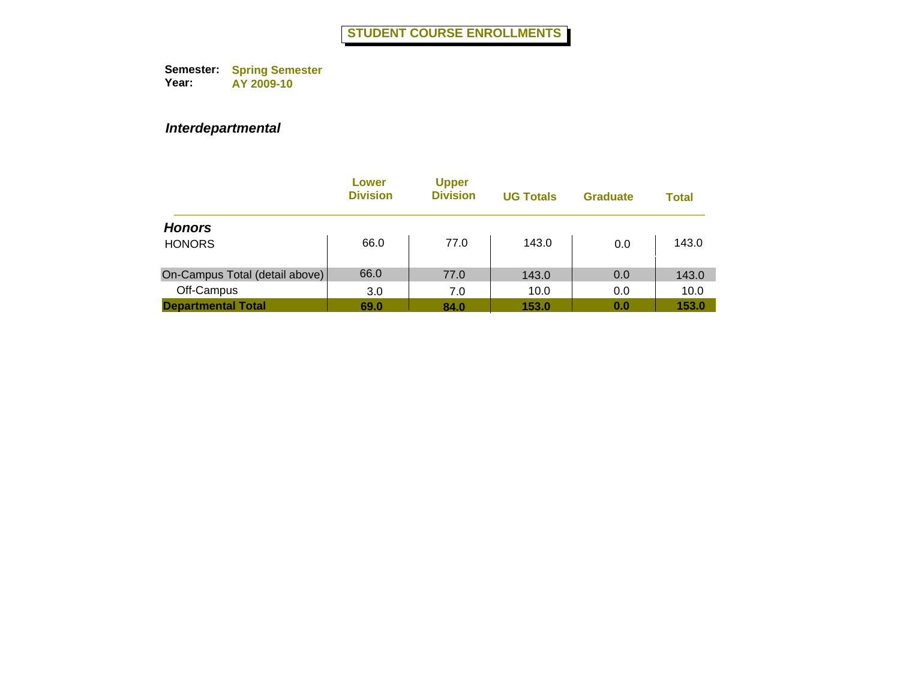|                                | Lower<br><b>Division</b> | <b>Upper</b><br><b>Division</b> | <b>UG Totals</b> | <b>Graduate</b> | Total |
|--------------------------------|--------------------------|---------------------------------|------------------|-----------------|-------|
| <b>Honors</b>                  |                          |                                 |                  |                 |       |
| <b>HONORS</b>                  | 66.0                     | 77.0                            | 143.0            | 0.0             | 143.0 |
| On-Campus Total (detail above) | 66.0                     | 77.0                            | 143.0            | 0.0             | 143.0 |
| Off-Campus                     | 3.0                      | 7.0                             | 10.0             | 0.0             | 10.0  |
| <b>Departmental Total</b>      | 69.0                     | 84.0                            | 153.0            | 0.0             | 153.0 |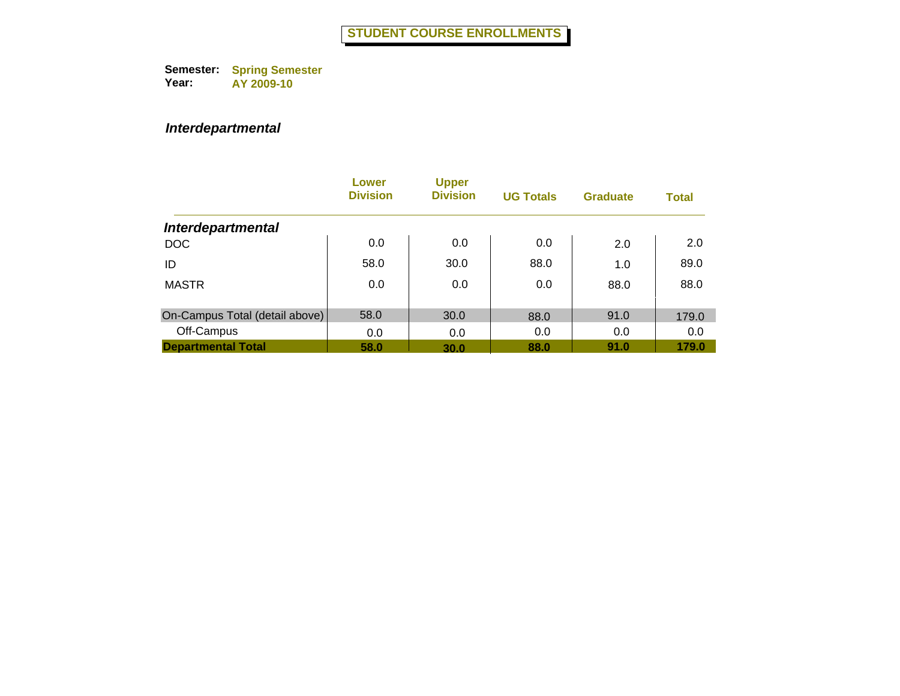|                                | Lower<br><b>Division</b> | <b>Upper</b><br><b>Division</b> | <b>UG Totals</b> | <b>Graduate</b> | <b>Total</b> |
|--------------------------------|--------------------------|---------------------------------|------------------|-----------------|--------------|
| <b>Interdepartmental</b>       |                          |                                 |                  |                 |              |
| <b>DOC</b>                     | 0.0                      | 0.0                             | 0.0              | 2.0             | 2.0          |
| ID                             | 58.0                     | 30.0                            | 88.0             | 1.0             | 89.0         |
| <b>MASTR</b>                   | 0.0                      | 0.0                             | 0.0              | 88.0            | 88.0         |
| On-Campus Total (detail above) | 58.0                     | 30.0                            | 88.0             | 91.0            | 179.0        |
| Off-Campus                     | 0.0                      | 0.0                             | 0.0              | 0.0             | 0.0          |
| <b>Departmental Total</b>      | 58.0                     | 30.0                            | 88.0             | 91.0            | 179.0        |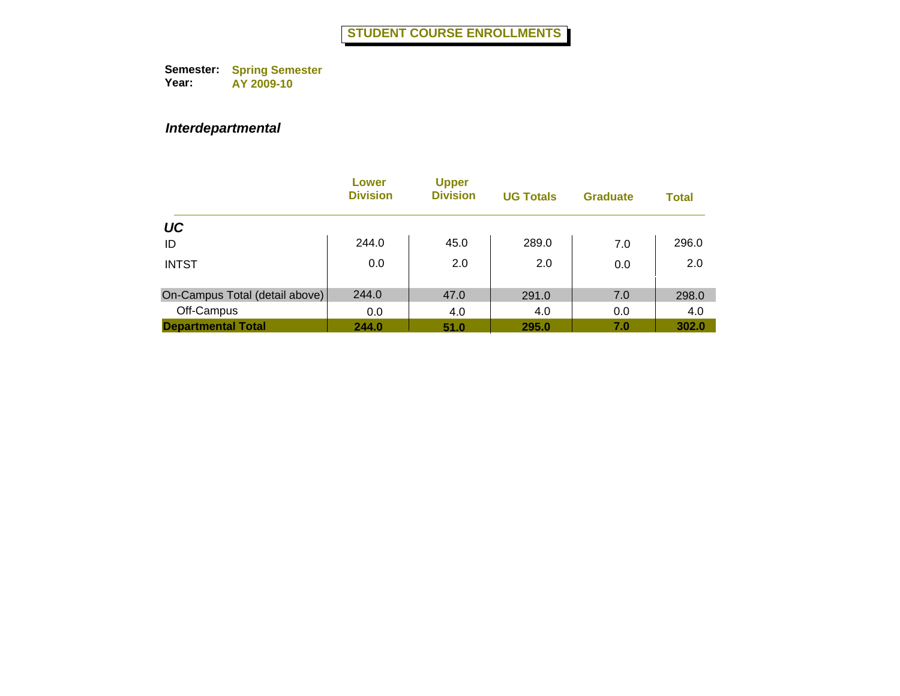|                                | Lower<br><b>Division</b> | <b>Upper</b><br><b>Division</b> | <b>UG Totals</b> | <b>Graduate</b> | <b>Total</b> |
|--------------------------------|--------------------------|---------------------------------|------------------|-----------------|--------------|
| <b>UC</b>                      |                          |                                 |                  |                 |              |
| ID                             | 244.0                    | 45.0                            | 289.0            | 7.0             | 296.0        |
| <b>INTST</b>                   | 0.0                      | 2.0                             | 2.0              | 0.0             | 2.0          |
| On-Campus Total (detail above) | 244.0                    | 47.0                            | 291.0            | 7.0             | 298.0        |
| Off-Campus                     | 0.0                      | 4.0                             | 4.0              | 0.0             | 4.0          |
| <b>Departmental Total</b>      | 244.0                    | 51.0                            | 295.0            | 7.0             | 302.0        |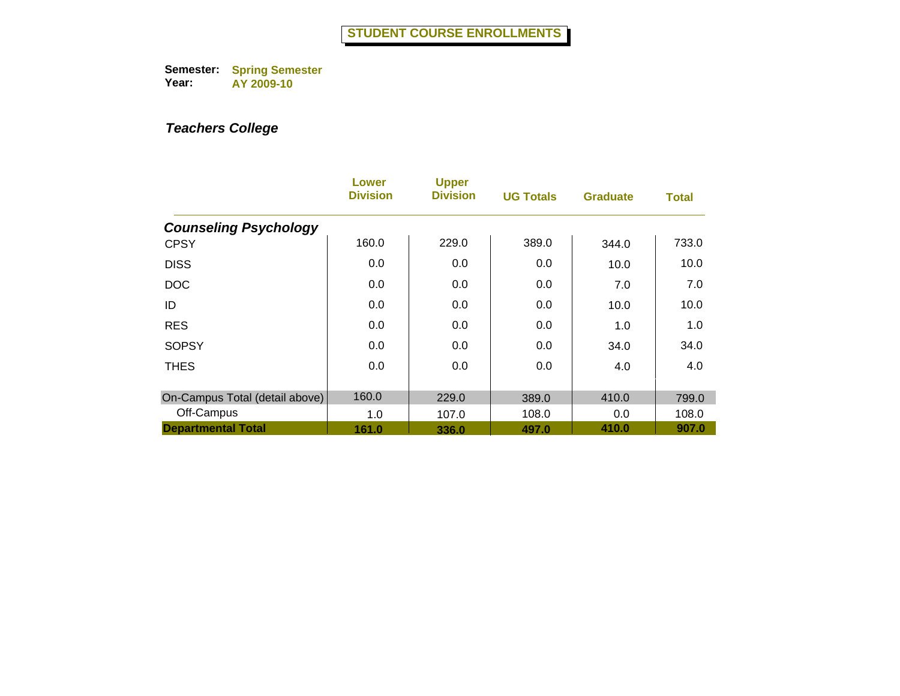|                                | Lower<br><b>Division</b> | <b>Upper</b><br><b>Division</b> | <b>UG Totals</b> | <b>Graduate</b> | <b>Total</b> |
|--------------------------------|--------------------------|---------------------------------|------------------|-----------------|--------------|
| <b>Counseling Psychology</b>   |                          |                                 |                  |                 |              |
| <b>CPSY</b>                    | 160.0                    | 229.0                           | 389.0            | 344.0           | 733.0        |
| <b>DISS</b>                    | 0.0                      | 0.0                             | 0.0              | 10.0            | 10.0         |
| <b>DOC</b>                     | 0.0                      | 0.0                             | 0.0              | 7.0             | 7.0          |
| ID                             | 0.0                      | 0.0                             | 0.0              | 10.0            | 10.0         |
| <b>RES</b>                     | 0.0                      | 0.0                             | 0.0              | 1.0             | 1.0          |
| <b>SOPSY</b>                   | 0.0                      | 0.0                             | 0.0              | 34.0            | 34.0         |
| <b>THES</b>                    | 0.0                      | 0.0                             | 0.0              | 4.0             | 4.0          |
| On-Campus Total (detail above) | 160.0                    | 229.0                           | 389.0            | 410.0           | 799.0        |
| Off-Campus                     | 1.0                      | 107.0                           | 108.0            | 0.0             | 108.0        |
| <b>Departmental Total</b>      | 161.0                    | 336.0                           | 497.0            | 410.0           | 907.0        |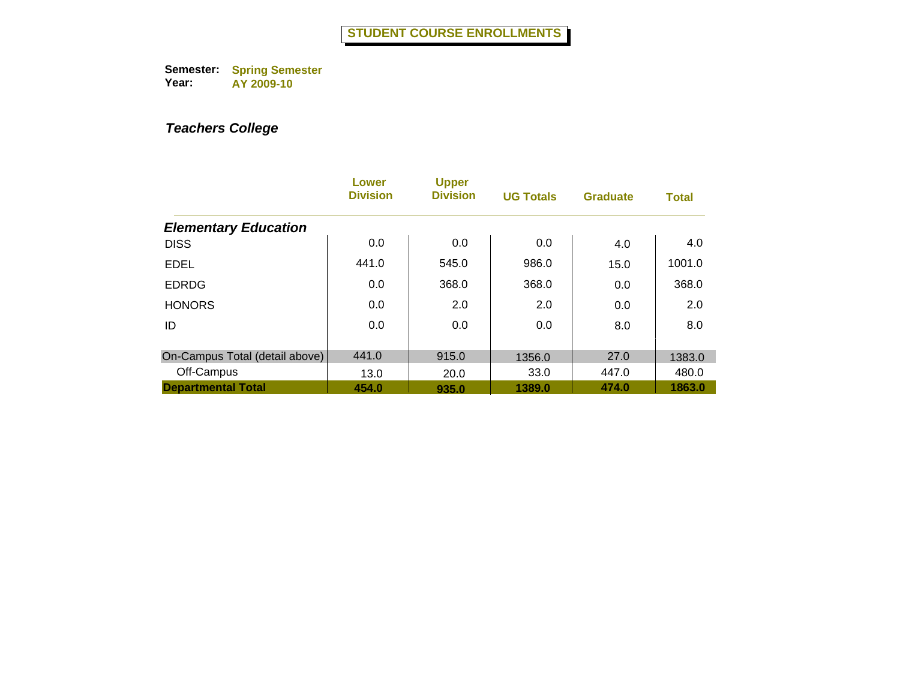|                                | Lower<br><b>Division</b> | <b>Upper</b><br><b>Division</b> | <b>UG Totals</b> | <b>Graduate</b> | <b>Total</b> |
|--------------------------------|--------------------------|---------------------------------|------------------|-----------------|--------------|
| <b>Elementary Education</b>    |                          |                                 |                  |                 |              |
| <b>DISS</b>                    | 0.0                      | 0.0                             | 0.0              | 4.0             | 4.0          |
| <b>EDEL</b>                    | 441.0                    | 545.0                           | 986.0            | 15.0            | 1001.0       |
| <b>EDRDG</b>                   | 0.0                      | 368.0                           | 368.0            | 0.0             | 368.0        |
| <b>HONORS</b>                  | 0.0                      | 2.0                             | 2.0              | 0.0             | 2.0          |
| ID                             | 0.0                      | 0.0                             | 0.0              | 8.0             | 8.0          |
| On-Campus Total (detail above) | 441.0                    | 915.0                           | 1356.0           | 27.0            | 1383.0       |
| Off-Campus                     | 13.0                     | 20.0                            | 33.0             | 447.0           | 480.0        |
| <b>Departmental Total</b>      | 454.0                    | 935.0                           | 1389.0           | 474.0           | 1863.0       |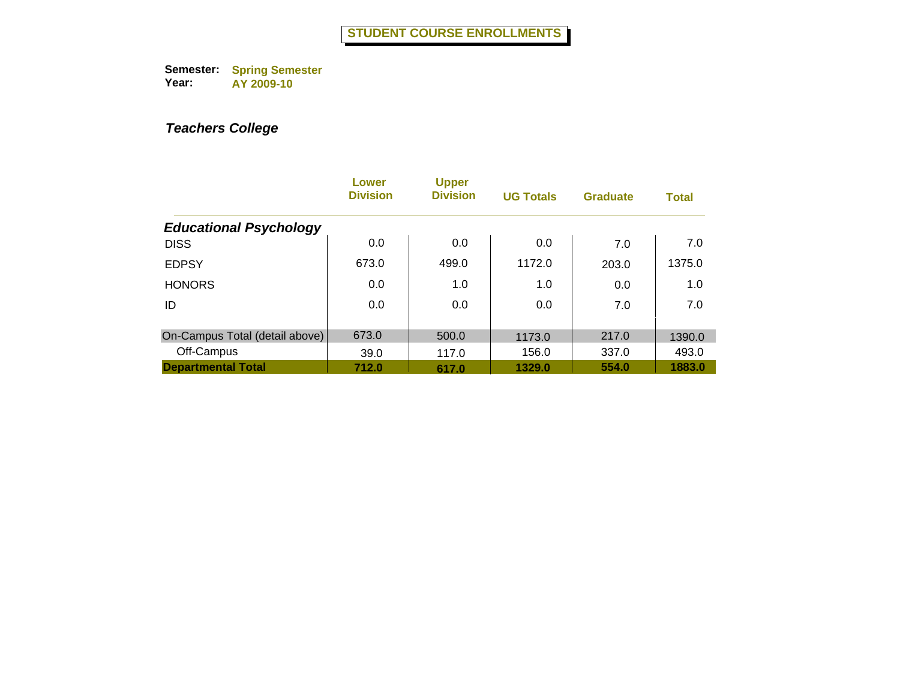|                                | <b>Lower</b><br><b>Division</b> | <b>Upper</b><br><b>Division</b> | <b>UG Totals</b> | <b>Graduate</b> | <b>Total</b> |
|--------------------------------|---------------------------------|---------------------------------|------------------|-----------------|--------------|
| <b>Educational Psychology</b>  |                                 |                                 |                  |                 |              |
| <b>DISS</b>                    | 0.0                             | 0.0                             | 0.0              | 7.0             | 7.0          |
| <b>EDPSY</b>                   | 673.0                           | 499.0                           | 1172.0           | 203.0           | 1375.0       |
| <b>HONORS</b>                  | 0.0                             | 1.0                             | 1.0              | 0.0             | 1.0          |
| ID                             | 0.0                             | 0.0                             | 0.0              | 7.0             | 7.0          |
|                                |                                 |                                 |                  |                 |              |
| On-Campus Total (detail above) | 673.0                           | 500.0                           | 1173.0           | 217.0           | 1390.0       |
| Off-Campus                     | 39.0                            | 117.0                           | 156.0            | 337.0           | 493.0        |
| <b>Departmental Total</b>      | 712.0                           | 617.0                           | 1329.0           | 554.0           | 1883.0       |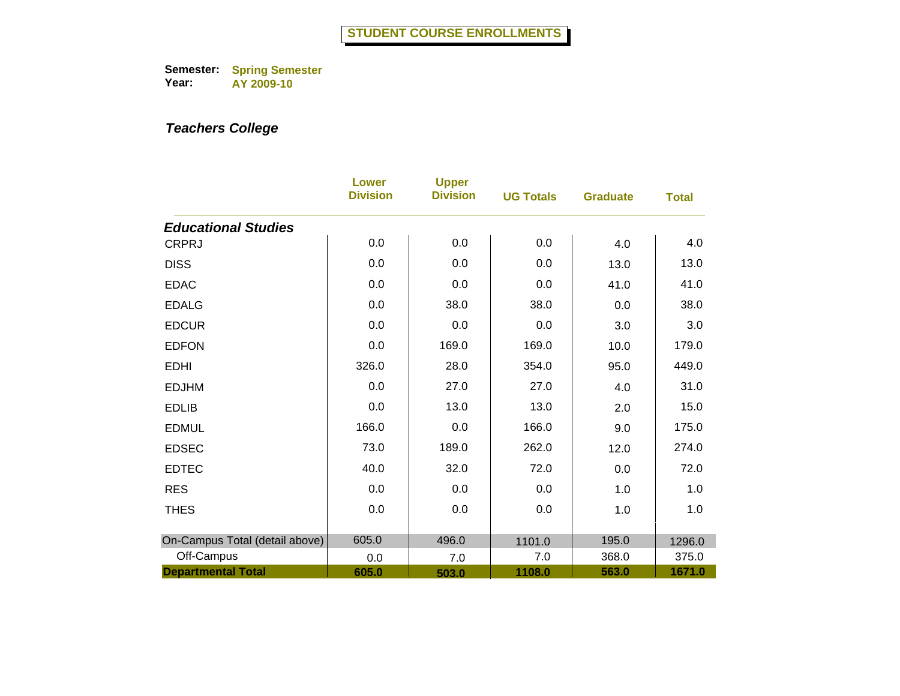|                                | <b>Lower</b><br><b>Division</b> | <b>Upper</b><br><b>Division</b> | <b>UG Totals</b> | <b>Graduate</b> | <b>Total</b> |
|--------------------------------|---------------------------------|---------------------------------|------------------|-----------------|--------------|
| <b>Educational Studies</b>     |                                 |                                 |                  |                 |              |
| <b>CRPRJ</b>                   | 0.0                             | 0.0                             | 0.0              | 4.0             | 4.0          |
| <b>DISS</b>                    | 0.0                             | 0.0                             | 0.0              | 13.0            | 13.0         |
| <b>EDAC</b>                    | 0.0                             | 0.0                             | 0.0              | 41.0            | 41.0         |
| <b>EDALG</b>                   | 0.0                             | 38.0                            | 38.0             | 0.0             | 38.0         |
| <b>EDCUR</b>                   | 0.0                             | 0.0                             | 0.0              | 3.0             | 3.0          |
| <b>EDFON</b>                   | 0.0                             | 169.0                           | 169.0            | 10.0            | 179.0        |
| <b>EDHI</b>                    | 326.0                           | 28.0                            | 354.0            | 95.0            | 449.0        |
| <b>EDJHM</b>                   | 0.0                             | 27.0                            | 27.0             | 4.0             | 31.0         |
| <b>EDLIB</b>                   | 0.0                             | 13.0                            | 13.0             | 2.0             | 15.0         |
| <b>EDMUL</b>                   | 166.0                           | 0.0                             | 166.0            | 9.0             | 175.0        |
| <b>EDSEC</b>                   | 73.0                            | 189.0                           | 262.0            | 12.0            | 274.0        |
| <b>EDTEC</b>                   | 40.0                            | 32.0                            | 72.0             | 0.0             | 72.0         |
| <b>RES</b>                     | 0.0                             | 0.0                             | 0.0              | 1.0             | 1.0          |
| <b>THES</b>                    | 0.0                             | 0.0                             | 0.0              | 1.0             | 1.0          |
| On-Campus Total (detail above) | 605.0                           | 496.0                           | 1101.0           | 195.0           | 1296.0       |
| Off-Campus                     | 0.0                             | 7.0                             | 7.0              | 368.0           | 375.0        |
| <b>Departmental Total</b>      | 605.0                           | 503.0                           | 1108.0           | 563.0           | 1671.0       |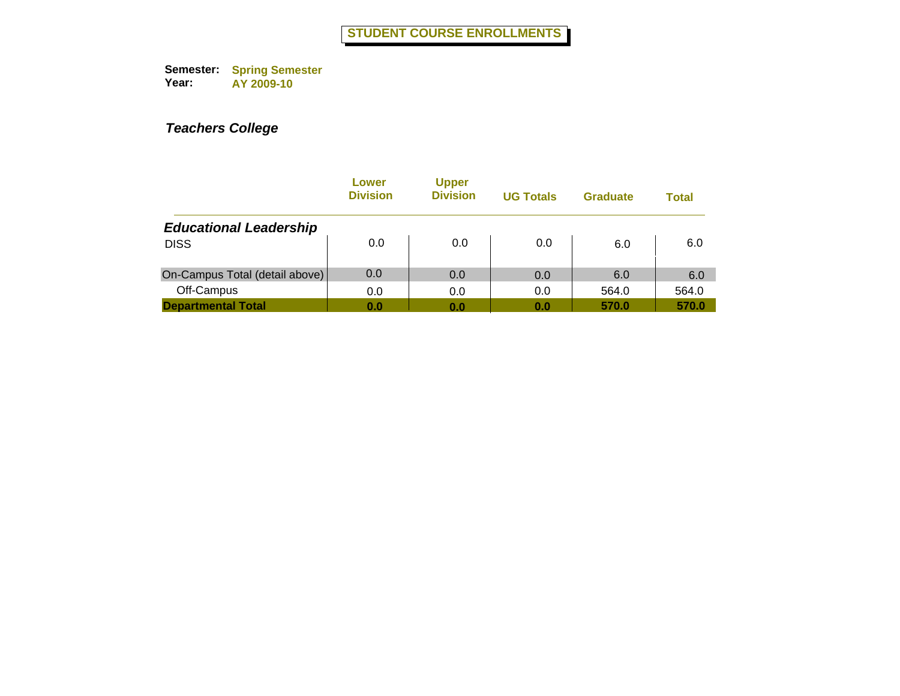|                                | Lower<br><b>Division</b> | <b>Upper</b><br><b>Division</b> | <b>UG Totals</b> | <b>Graduate</b> | Total |
|--------------------------------|--------------------------|---------------------------------|------------------|-----------------|-------|
| <b>Educational Leadership</b>  |                          |                                 |                  |                 |       |
| <b>DISS</b>                    | 0.0                      | 0.0                             | 0.0              | 6.0             | 6.0   |
| On-Campus Total (detail above) | 0.0                      | 0.0                             | 0.0              | 6.0             | 6.0   |
| Off-Campus                     | 0.0                      | 0.0                             | 0.0              | 564.0           | 564.0 |
| <b>Departmental Total</b>      | 0.0                      | 0.0                             | 0.0              | 570.0           | 570.0 |